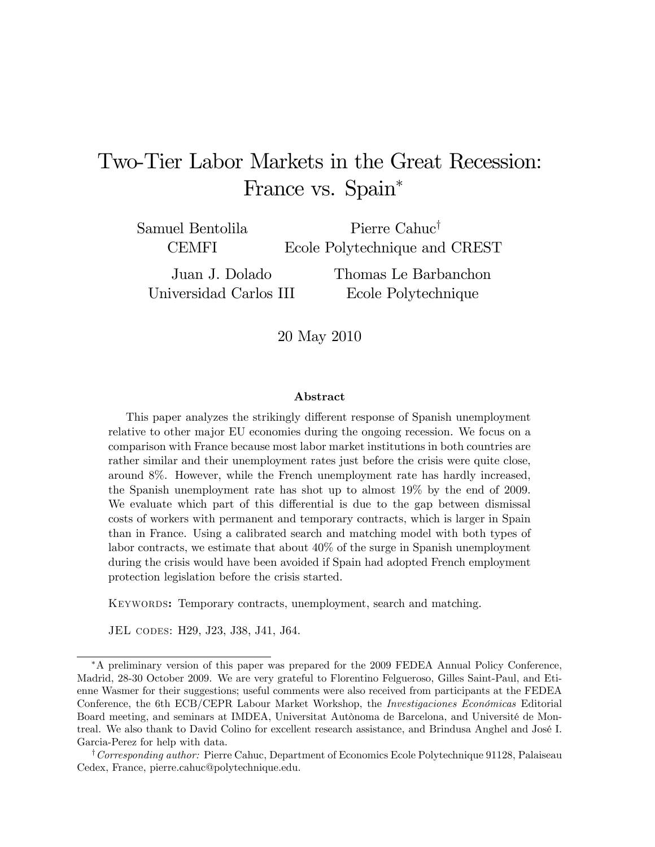# Two-Tier Labor Markets in the Great Recession: France vs. Spain\*

Samuel Bentolila **CEMFI** 

Pierre Cahuc<sup>†</sup> Ecole Polytechnique and CREST

Juan J. Dolado Universidad Carlos III Thomas Le Barbanchon Ecole Polytechnique

20 May 2010

#### Abstract

This paper analyzes the strikingly different response of Spanish unemployment relative to other major EU economies during the ongoing recession. We focus on a comparison with France because most labor market institutions in both countries are rather similar and their unemployment rates just before the crisis were quite close, around 8%. However, while the French unemployment rate has hardly increased, the Spanish unemployment rate has shot up to almost 19% by the end of 2009. We evaluate which part of this differential is due to the gap between dismissal costs of workers with permanent and temporary contracts, which is larger in Spain than in France. Using a calibrated search and matching model with both types of labor contracts, we estimate that about 40% of the surge in Spanish unemployment during the crisis would have been avoided if Spain had adopted French employment protection legislation before the crisis started.

KEYWORDS: Temporary contracts, unemployment, search and matching.

JEL codes: H29, J23, J38, J41, J64.

A preliminary version of this paper was prepared for the 2009 FEDEA Annual Policy Conference, Madrid, 28-30 October 2009. We are very grateful to Florentino Felgueroso, Gilles Saint-Paul, and Etienne Wasmer for their suggestions; useful comments were also received from participants at the FEDEA Conference, the 6th ECB/CEPR Labour Market Workshop, the Investigaciones Económicas Editorial Board meeting, and seminars at IMDEA, Universitat Autònoma de Barcelona, and Université de Montreal. We also thank to David Colino for excellent research assistance, and Brindusa Anghel and JosÈ I. Garcia-Perez for help with data.

<sup>†</sup> Corresponding author: Pierre Cahuc, Department of Economics Ecole Polytechnique 91128, Palaiseau Cedex, France, pierre.cahuc@polytechnique.edu.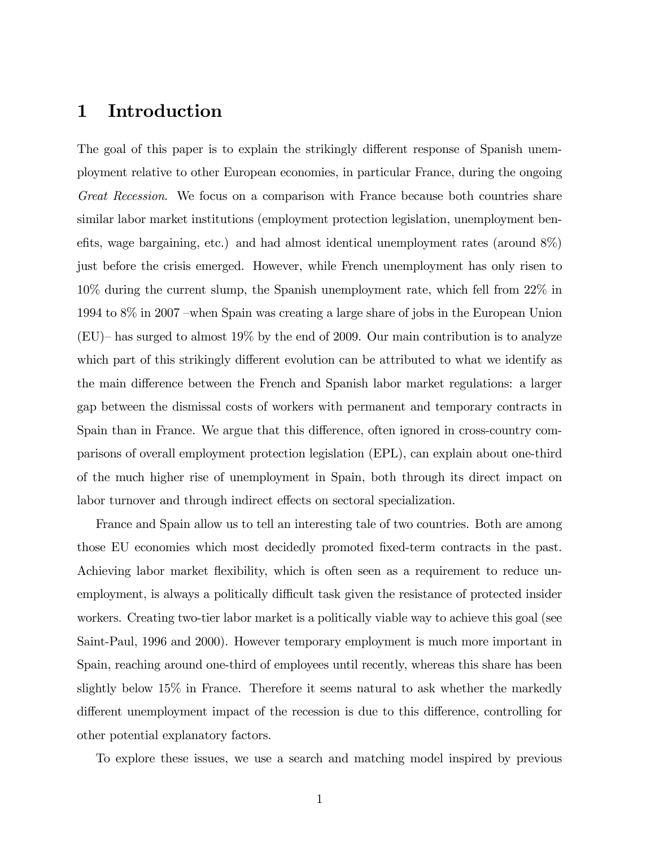## 1 Introduction

The goal of this paper is to explain the strikingly different response of Spanish unemployment relative to other European economies, in particular France, during the ongoing Great Recession. We focus on a comparison with France because both countries share similar labor market institutions (employment protection legislation, unemployment benefits, wage bargaining, etc.) and had almost identical unemployment rates (around  $8\%$ ) just before the crisis emerged. However, while French unemployment has only risen to 10% during the current slump, the Spanish unemployment rate, which fell from 22% in 1994 to  $8\%$  in 2007 – when Spain was creating a large share of jobs in the European Union (EU)– has surged to almost  $19\%$  by the end of 2009. Our main contribution is to analyze which part of this strikingly different evolution can be attributed to what we identify as the main difference between the French and Spanish labor market regulations: a larger gap between the dismissal costs of workers with permanent and temporary contracts in Spain than in France. We argue that this difference, often ignored in cross-country comparisons of overall employment protection legislation (EPL), can explain about one-third of the much higher rise of unemployment in Spain, both through its direct impact on labor turnover and through indirect effects on sectoral specialization.

France and Spain allow us to tell an interesting tale of two countries. Both are among those EU economies which most decidedly promoted Öxed-term contracts in the past. Achieving labor market flexibility, which is often seen as a requirement to reduce unemployment, is always a politically difficult task given the resistance of protected insider workers. Creating two-tier labor market is a politically viable way to achieve this goal (see Saint-Paul, 1996 and 2000). However temporary employment is much more important in Spain, reaching around one-third of employees until recently, whereas this share has been slightly below 15% in France. Therefore it seems natural to ask whether the markedly different unemployment impact of the recession is due to this difference, controlling for other potential explanatory factors.

To explore these issues, we use a search and matching model inspired by previous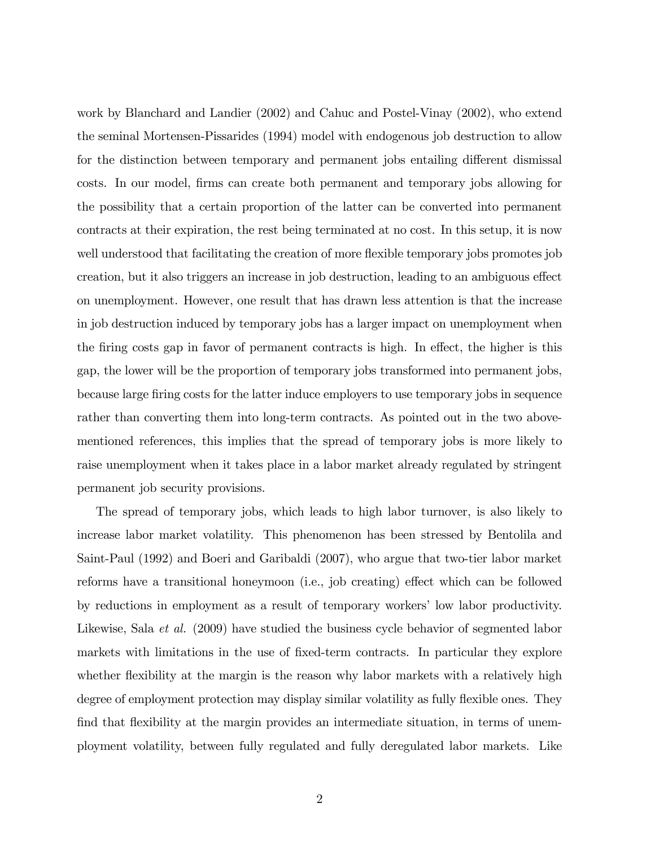work by Blanchard and Landier (2002) and Cahuc and Postel-Vinay (2002), who extend the seminal Mortensen-Pissarides (1994) model with endogenous job destruction to allow for the distinction between temporary and permanent jobs entailing different dismissal costs. In our model, Örms can create both permanent and temporary jobs allowing for the possibility that a certain proportion of the latter can be converted into permanent contracts at their expiration, the rest being terminated at no cost. In this setup, it is now well understood that facilitating the creation of more flexible temporary jobs promotes job creation, but it also triggers an increase in job destruction, leading to an ambiguous effect on unemployment. However, one result that has drawn less attention is that the increase in job destruction induced by temporary jobs has a larger impact on unemployment when the firing costs gap in favor of permanent contracts is high. In effect, the higher is this gap, the lower will be the proportion of temporary jobs transformed into permanent jobs, because large Öring costs for the latter induce employers to use temporary jobs in sequence rather than converting them into long-term contracts. As pointed out in the two abovementioned references, this implies that the spread of temporary jobs is more likely to raise unemployment when it takes place in a labor market already regulated by stringent permanent job security provisions.

The spread of temporary jobs, which leads to high labor turnover, is also likely to increase labor market volatility. This phenomenon has been stressed by Bentolila and Saint-Paul (1992) and Boeri and Garibaldi (2007), who argue that two-tier labor market reforms have a transitional honeymoon (i.e., job creating) effect which can be followed by reductions in employment as a result of temporary workers' low labor productivity. Likewise, Sala *et al.* (2009) have studied the business cycle behavior of segmented labor markets with limitations in the use of fixed-term contracts. In particular they explore whether flexibility at the margin is the reason why labor markets with a relatively high degree of employment protection may display similar volatility as fully flexible ones. They find that flexibility at the margin provides an intermediate situation, in terms of unemployment volatility, between fully regulated and fully deregulated labor markets. Like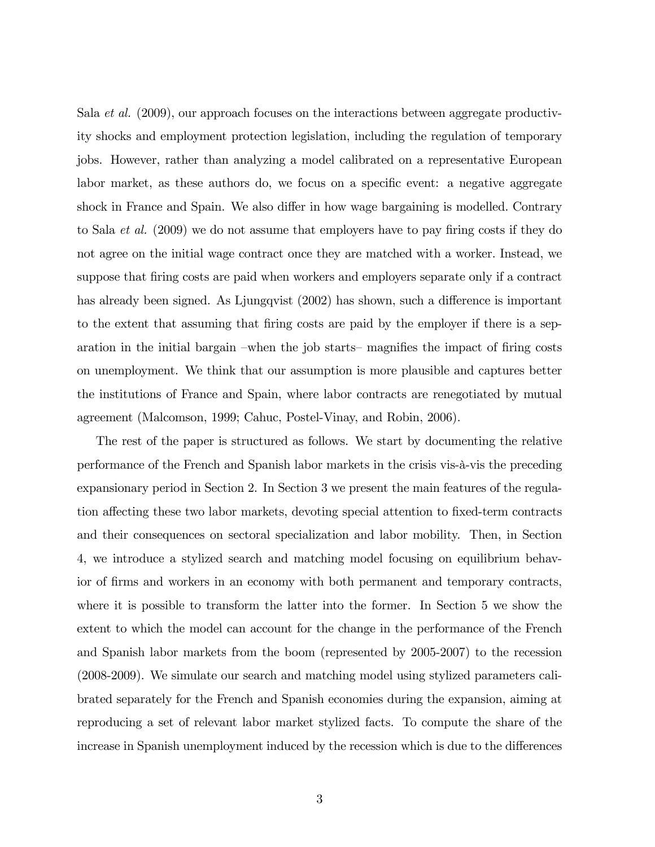Sala et al. (2009), our approach focuses on the interactions between aggregate productivity shocks and employment protection legislation, including the regulation of temporary jobs. However, rather than analyzing a model calibrated on a representative European labor market, as these authors do, we focus on a specific event: a negative aggregate shock in France and Spain. We also differ in how wage bargaining is modelled. Contrary to Sala *et al.* (2009) we do not assume that employers have to pay firing costs if they do not agree on the initial wage contract once they are matched with a worker. Instead, we suppose that firing costs are paid when workers and employers separate only if a contract has already been signed. As Ljungqvist  $(2002)$  has shown, such a difference is important to the extent that assuming that firing costs are paid by the employer if there is a separation in the initial bargain –when the job starts– magnifies the impact of firing costs on unemployment. We think that our assumption is more plausible and captures better the institutions of France and Spain, where labor contracts are renegotiated by mutual agreement (Malcomson, 1999; Cahuc, Postel-Vinay, and Robin, 2006).

The rest of the paper is structured as follows. We start by documenting the relative performance of the French and Spanish labor markets in the crisis vis- $\ddot{a}$ -vis the preceding expansionary period in Section 2. In Section 3 we present the main features of the regulation affecting these two labor markets, devoting special attention to fixed-term contracts and their consequences on sectoral specialization and labor mobility. Then, in Section 4, we introduce a stylized search and matching model focusing on equilibrium behavior of firms and workers in an economy with both permanent and temporary contracts, where it is possible to transform the latter into the former. In Section 5 we show the extent to which the model can account for the change in the performance of the French and Spanish labor markets from the boom (represented by 2005-2007) to the recession (2008-2009). We simulate our search and matching model using stylized parameters calibrated separately for the French and Spanish economies during the expansion, aiming at reproducing a set of relevant labor market stylized facts. To compute the share of the increase in Spanish unemployment induced by the recession which is due to the differences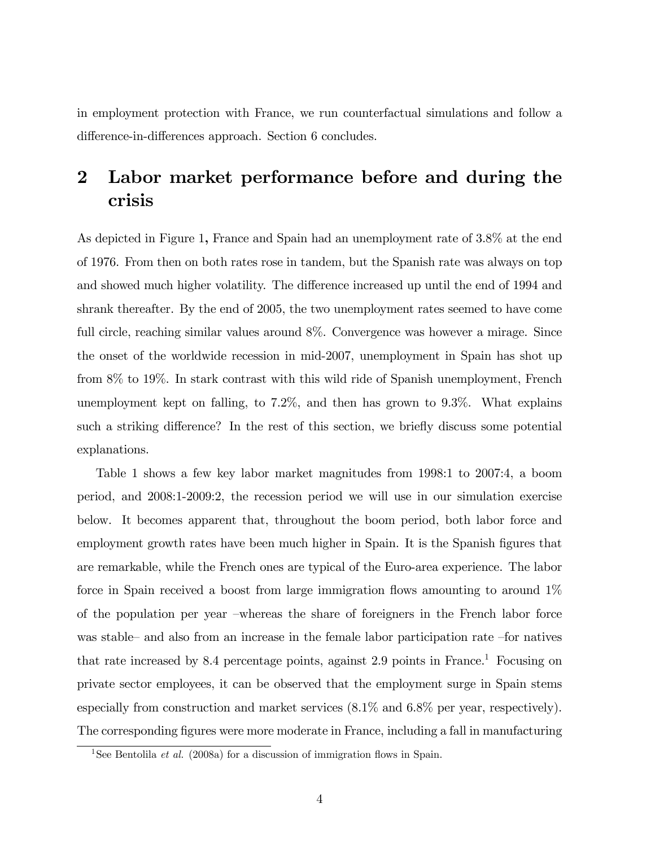in employment protection with France, we run counterfactual simulations and follow a difference-in-differences approach. Section 6 concludes.

# 2 Labor market performance before and during the crisis

As depicted in Figure 1, France and Spain had an unemployment rate of 3.8% at the end of 1976. From then on both rates rose in tandem, but the Spanish rate was always on top and showed much higher volatility. The difference increased up until the end of 1994 and shrank thereafter. By the end of 2005, the two unemployment rates seemed to have come full circle, reaching similar values around 8%. Convergence was however a mirage. Since the onset of the worldwide recession in mid-2007, unemployment in Spain has shot up from 8% to 19%. In stark contrast with this wild ride of Spanish unemployment, French unemployment kept on falling, to 7.2%, and then has grown to 9.3%. What explains such a striking difference? In the rest of this section, we briefly discuss some potential explanations.

Table 1 shows a few key labor market magnitudes from 1998:1 to 2007:4, a boom period, and 2008:1-2009:2, the recession period we will use in our simulation exercise below. It becomes apparent that, throughout the boom period, both labor force and employment growth rates have been much higher in Spain. It is the Spanish figures that are remarkable, while the French ones are typical of the Euro-area experience. The labor force in Spain received a boost from large immigration flows amounting to around  $1\%$ of the population per year –whereas the share of foreigners in the French labor force was stable—and also from an increase in the female labor participation rate  $-$ for natives that rate increased by 8.4 percentage points, against  $2.9$  points in France.<sup>1</sup> Focusing on private sector employees, it can be observed that the employment surge in Spain stems especially from construction and market services (8.1% and 6.8% per year, respectively). The corresponding figures were more moderate in France, including a fall in manufacturing

<sup>&</sup>lt;sup>1</sup>See Bentolila *et al.* (2008a) for a discussion of immigration flows in Spain.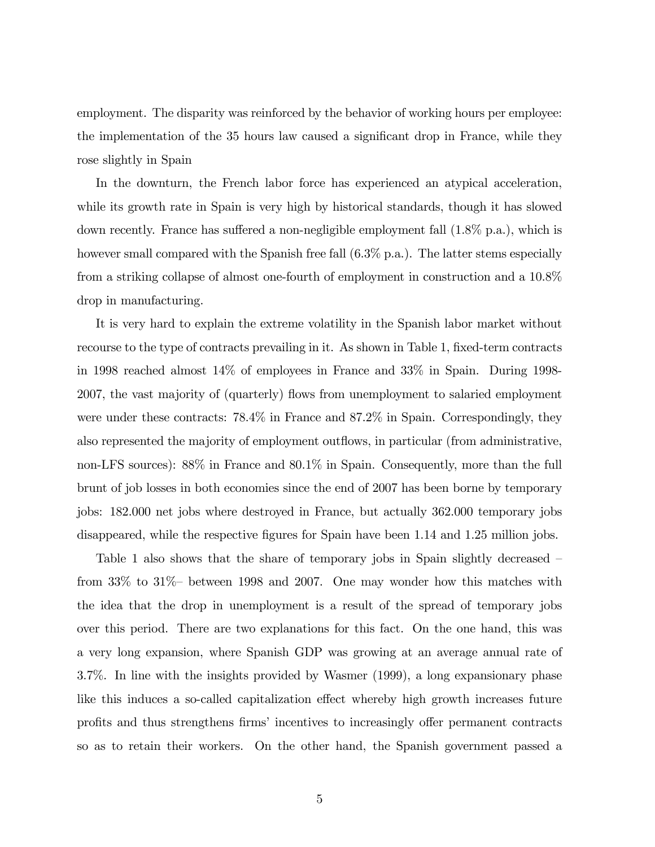employment. The disparity was reinforced by the behavior of working hours per employee: the implementation of the 35 hours law caused a significant drop in France, while they rose slightly in Spain

In the downturn, the French labor force has experienced an atypical acceleration, while its growth rate in Spain is very high by historical standards, though it has slowed down recently. France has suffered a non-negligible employment fall  $(1.8\% \text{ p.a.})$ , which is however small compared with the Spanish free fall  $(6.3\%$  p.a.). The latter stems especially from a striking collapse of almost one-fourth of employment in construction and a 10.8% drop in manufacturing.

It is very hard to explain the extreme volatility in the Spanish labor market without recourse to the type of contracts prevailing in it. As shown in Table 1, fixed-term contracts in 1998 reached almost 14% of employees in France and 33% in Spain. During 1998- 2007, the vast majority of (quarterly) áows from unemployment to salaried employment were under these contracts:  $78.4\%$  in France and  $87.2\%$  in Spain. Correspondingly, they also represented the majority of employment outflows, in particular (from administrative, non-LFS sources): 88% in France and 80.1% in Spain. Consequently, more than the full brunt of job losses in both economies since the end of 2007 has been borne by temporary jobs: 182.000 net jobs where destroyed in France, but actually 362.000 temporary jobs disappeared, while the respective figures for Spain have been 1.14 and 1.25 million jobs.

Table 1 also shows that the share of temporary jobs in Spain slightly decreased  $$ from  $33\%$  to  $31\%$  between 1998 and 2007. One may wonder how this matches with the idea that the drop in unemployment is a result of the spread of temporary jobs over this period. There are two explanations for this fact. On the one hand, this was a very long expansion, where Spanish GDP was growing at an average annual rate of 3.7%. In line with the insights provided by Wasmer (1999), a long expansionary phase like this induces a so-called capitalization effect whereby high growth increases future profits and thus strengthens firms' incentives to increasingly offer permanent contracts so as to retain their workers. On the other hand, the Spanish government passed a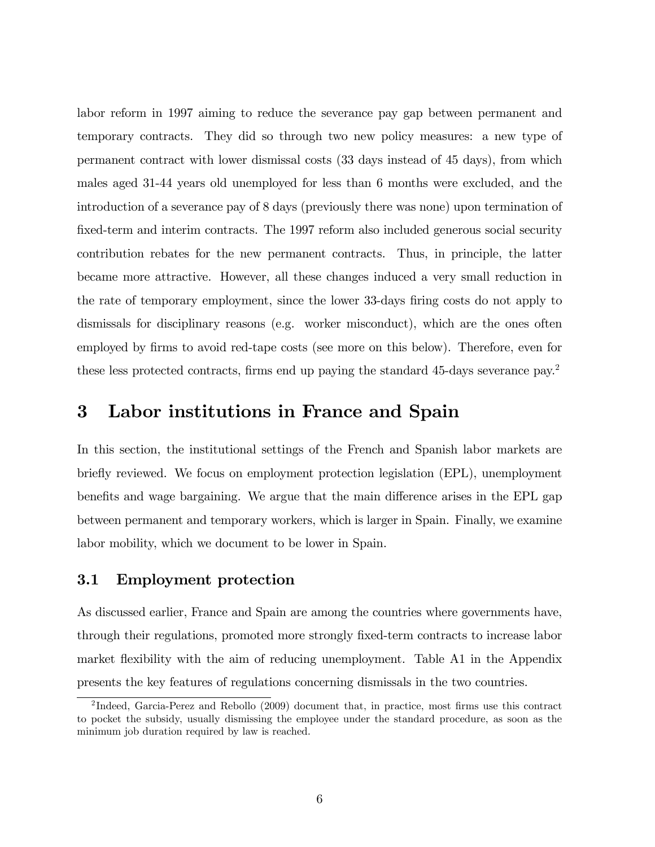labor reform in 1997 aiming to reduce the severance pay gap between permanent and temporary contracts. They did so through two new policy measures: a new type of permanent contract with lower dismissal costs (33 days instead of 45 days), from which males aged 31-44 years old unemployed for less than 6 months were excluded, and the introduction of a severance pay of 8 days (previously there was none) upon termination of fixed-term and interim contracts. The 1997 reform also included generous social security contribution rebates for the new permanent contracts. Thus, in principle, the latter became more attractive. However, all these changes induced a very small reduction in the rate of temporary employment, since the lower 33-days firing costs do not apply to dismissals for disciplinary reasons (e.g. worker misconduct), which are the ones often employed by firms to avoid red-tape costs (see more on this below). Therefore, even for these less protected contracts, firms end up paying the standard 45-days severance pay.<sup>2</sup>

## 3 Labor institutions in France and Spain

In this section, the institutional settings of the French and Spanish labor markets are briefly reviewed. We focus on employment protection legislation (EPL), unemployment benefits and wage bargaining. We argue that the main difference arises in the EPL gap between permanent and temporary workers, which is larger in Spain. Finally, we examine labor mobility, which we document to be lower in Spain.

#### 3.1 Employment protection

As discussed earlier, France and Spain are among the countries where governments have, through their regulations, promoted more strongly Öxed-term contracts to increase labor market flexibility with the aim of reducing unemployment. Table A1 in the Appendix presents the key features of regulations concerning dismissals in the two countries.

<sup>&</sup>lt;sup>2</sup>Indeed, Garcia-Perez and Rebollo (2009) document that, in practice, most firms use this contract to pocket the subsidy, usually dismissing the employee under the standard procedure, as soon as the minimum job duration required by law is reached.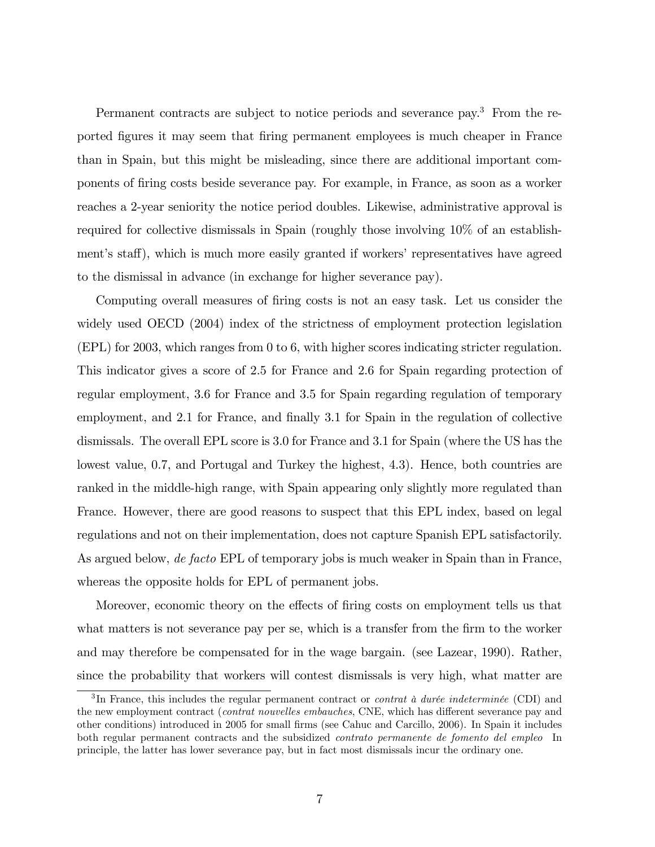Permanent contracts are subject to notice periods and severance pay.<sup>3</sup> From the reported Ögures it may seem that Öring permanent employees is much cheaper in France than in Spain, but this might be misleading, since there are additional important components of Öring costs beside severance pay. For example, in France, as soon as a worker reaches a 2-year seniority the notice period doubles. Likewise, administrative approval is required for collective dismissals in Spain (roughly those involving 10% of an establishment's staff), which is much more easily granted if workers' representatives have agreed to the dismissal in advance (in exchange for higher severance pay).

Computing overall measures of firing costs is not an easy task. Let us consider the widely used OECD (2004) index of the strictness of employment protection legislation (EPL) for 2003, which ranges from 0 to 6, with higher scores indicating stricter regulation. This indicator gives a score of 2.5 for France and 2.6 for Spain regarding protection of regular employment, 3.6 for France and 3.5 for Spain regarding regulation of temporary employment, and 2.1 for France, and finally 3.1 for Spain in the regulation of collective dismissals. The overall EPL score is 3.0 for France and 3.1 for Spain (where the US has the lowest value, 0.7, and Portugal and Turkey the highest, 4.3). Hence, both countries are ranked in the middle-high range, with Spain appearing only slightly more regulated than France. However, there are good reasons to suspect that this EPL index, based on legal regulations and not on their implementation, does not capture Spanish EPL satisfactorily. As argued below, de facto EPL of temporary jobs is much weaker in Spain than in France, whereas the opposite holds for EPL of permanent jobs.

Moreover, economic theory on the effects of firing costs on employment tells us that what matters is not severance pay per se, which is a transfer from the firm to the worker and may therefore be compensated for in the wage bargain. (see Lazear, 1990). Rather, since the probability that workers will contest dismissals is very high, what matter are

<sup>&</sup>lt;sup>3</sup>In France, this includes the regular permanent contract or *contrat à durée indeterminée* (CDI) and the new employment contract (contrat nouvelles embauches, CNE, which has different severance pay and other conditions) introduced in 2005 for small Örms (see Cahuc and Carcillo, 2006). In Spain it includes both regular permanent contracts and the subsidized contrato permanente de fomento del empleo In principle, the latter has lower severance pay, but in fact most dismissals incur the ordinary one.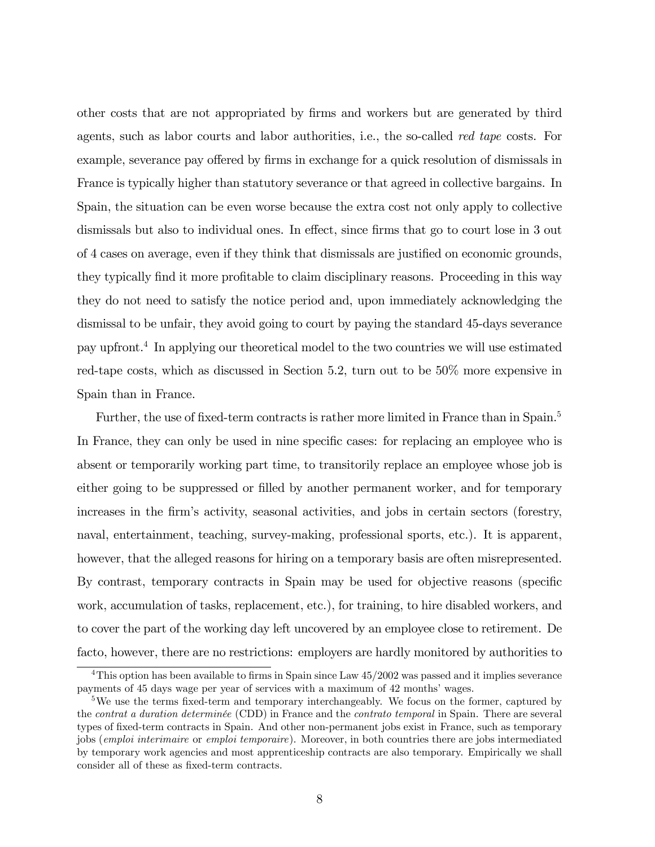other costs that are not appropriated by Örms and workers but are generated by third agents, such as labor courts and labor authorities, i.e., the so-called red tape costs. For example, severance pay offered by firms in exchange for a quick resolution of dismissals in France is typically higher than statutory severance or that agreed in collective bargains. In Spain, the situation can be even worse because the extra cost not only apply to collective dismissals but also to individual ones. In effect, since firms that go to court lose in 3 out of 4 cases on average, even if they think that dismissals are justified on economic grounds, they typically find it more profitable to claim disciplinary reasons. Proceeding in this way they do not need to satisfy the notice period and, upon immediately acknowledging the dismissal to be unfair, they avoid going to court by paying the standard 45-days severance pay upfront.<sup>4</sup> In applying our theoretical model to the two countries we will use estimated red-tape costs, which as discussed in Section 5.2, turn out to be 50% more expensive in Spain than in France.

Further, the use of fixed-term contracts is rather more limited in France than in Spain.<sup>5</sup> In France, they can only be used in nine specific cases: for replacing an employee who is absent or temporarily working part time, to transitorily replace an employee whose job is either going to be suppressed or filled by another permanent worker, and for temporary increases in the firm's activity, seasonal activities, and jobs in certain sectors (forestry, naval, entertainment, teaching, survey-making, professional sports, etc.). It is apparent, however, that the alleged reasons for hiring on a temporary basis are often misrepresented. By contrast, temporary contracts in Spain may be used for objective reasons (specific work, accumulation of tasks, replacement, etc.), for training, to hire disabled workers, and to cover the part of the working day left uncovered by an employee close to retirement. De facto, however, there are no restrictions: employers are hardly monitored by authorities to

<sup>&</sup>lt;sup>4</sup>This option has been available to firms in Spain since Law  $45/2002$  was passed and it implies severance payments of 45 days wage per year of services with a maximum of 42 months' wages.

<sup>&</sup>lt;sup>5</sup>We use the terms fixed-term and temporary interchangeably. We focus on the former, captured by the *contrat a duration determinée* (CDD) in France and the *contrato temporal* in Spain. There are several types of fixed-term contracts in Spain. And other non-permanent jobs exist in France, such as temporary jobs (emploi interimaire or emploi temporaire). Moreover, in both countries there are jobs intermediated by temporary work agencies and most apprenticeship contracts are also temporary. Empirically we shall consider all of these as fixed-term contracts.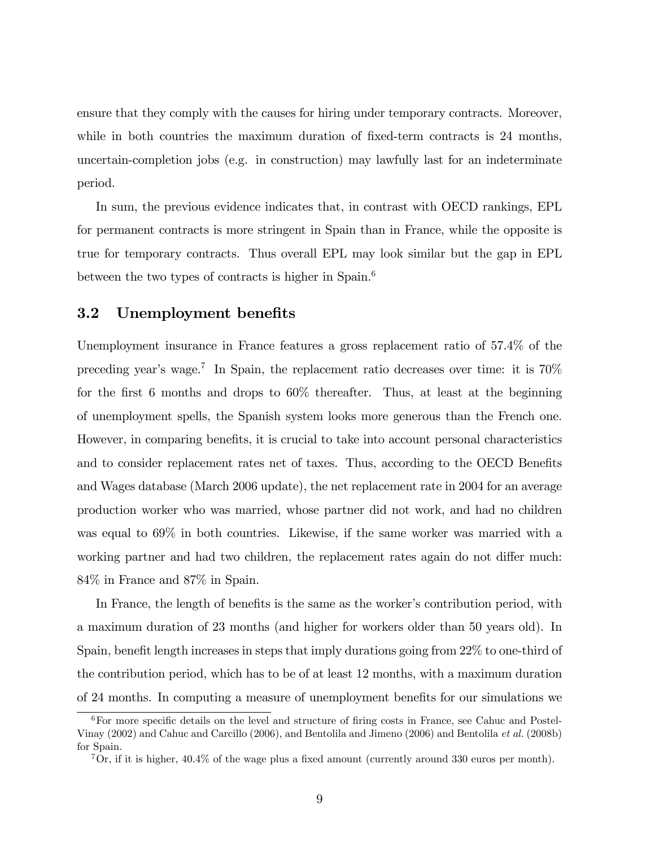ensure that they comply with the causes for hiring under temporary contracts. Moreover, while in both countries the maximum duration of fixed-term contracts is 24 months, uncertain-completion jobs (e.g. in construction) may lawfully last for an indeterminate period.

In sum, the previous evidence indicates that, in contrast with OECD rankings, EPL for permanent contracts is more stringent in Spain than in France, while the opposite is true for temporary contracts. Thus overall EPL may look similar but the gap in EPL between the two types of contracts is higher in Spain.<sup>6</sup>

### 3.2 Unemployment benefits

Unemployment insurance in France features a gross replacement ratio of 57.4% of the preceding year's wage.<sup>7</sup> In Spain, the replacement ratio decreases over time: it is  $70\%$ for the first 6 months and drops to  $60\%$  thereafter. Thus, at least at the beginning of unemployment spells, the Spanish system looks more generous than the French one. However, in comparing benefits, it is crucial to take into account personal characteristics and to consider replacement rates net of taxes. Thus, according to the OECD Benefits and Wages database (March 2006 update), the net replacement rate in 2004 for an average production worker who was married, whose partner did not work, and had no children was equal to 69% in both countries. Likewise, if the same worker was married with a working partner and had two children, the replacement rates again do not differ much: 84% in France and 87% in Spain.

In France, the length of benefits is the same as the worker's contribution period, with a maximum duration of 23 months (and higher for workers older than 50 years old). In Spain, benefit length increases in steps that imply durations going from  $22\%$  to one-third of the contribution period, which has to be of at least 12 months, with a maximum duration of 24 months. In computing a measure of unemployment benefits for our simulations we

 $6$ For more specific details on the level and structure of firing costs in France, see Cahuc and Postel-Vinay (2002) and Cahuc and Carcillo (2006), and Bentolila and Jimeno (2006) and Bentolila et al. (2008b) for Spain.

 ${}^{7}$ Or, if it is higher, 40.4% of the wage plus a fixed amount (currently around 330 euros per month).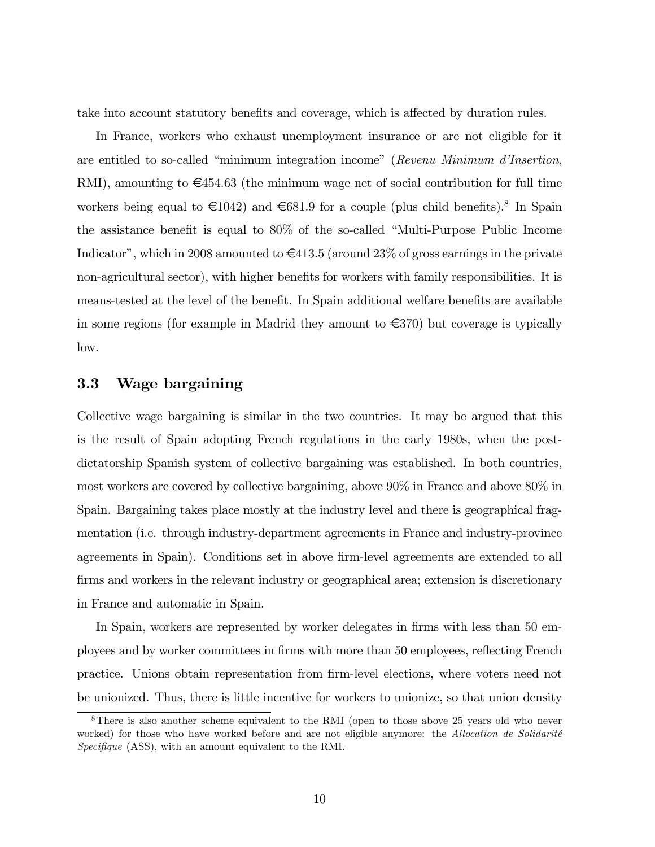take into account statutory benefits and coverage, which is affected by duration rules.

In France, workers who exhaust unemployment insurance or are not eligible for it are entitled to so-called "minimum integration income" (Revenu Minimum d'Insertion, RMI), amounting to  $\epsilon$ 454.63 (the minimum wage net of social contribution for full time workers being equal to  $\in$ 1042) and  $\in$ 681.9 for a couple (plus child benefits).<sup>8</sup> In Spain the assistance benefit is equal to  $80\%$  of the so-called "Multi-Purpose Public Income Indicator", which in 2008 amounted to  $\in 413.5$  (around 23% of gross earnings in the private non-agricultural sector), with higher benefits for workers with family responsibilities. It is means-tested at the level of the benefit. In Spain additional welfare benefits are available in some regions (for example in Madrid they amount to  $\in 370$ ) but coverage is typically low.

### 3.3 Wage bargaining

Collective wage bargaining is similar in the two countries. It may be argued that this is the result of Spain adopting French regulations in the early 1980s, when the postdictatorship Spanish system of collective bargaining was established. In both countries, most workers are covered by collective bargaining, above 90% in France and above 80% in Spain. Bargaining takes place mostly at the industry level and there is geographical fragmentation (i.e. through industry-department agreements in France and industry-province agreements in Spain). Conditions set in above firm-level agreements are extended to all firms and workers in the relevant industry or geographical area; extension is discretionary in France and automatic in Spain.

In Spain, workers are represented by worker delegates in firms with less than 50 employees and by worker committees in firms with more than 50 employees, reflecting French practice. Unions obtain representation from Örm-level elections, where voters need not be unionized. Thus, there is little incentive for workers to unionize, so that union density

<sup>&</sup>lt;sup>8</sup>There is also another scheme equivalent to the RMI (open to those above 25 years old who never worked) for those who have worked before and are not eligible anymore: the Allocation de Solidarité  $Specificue$  (ASS), with an amount equivalent to the RMI.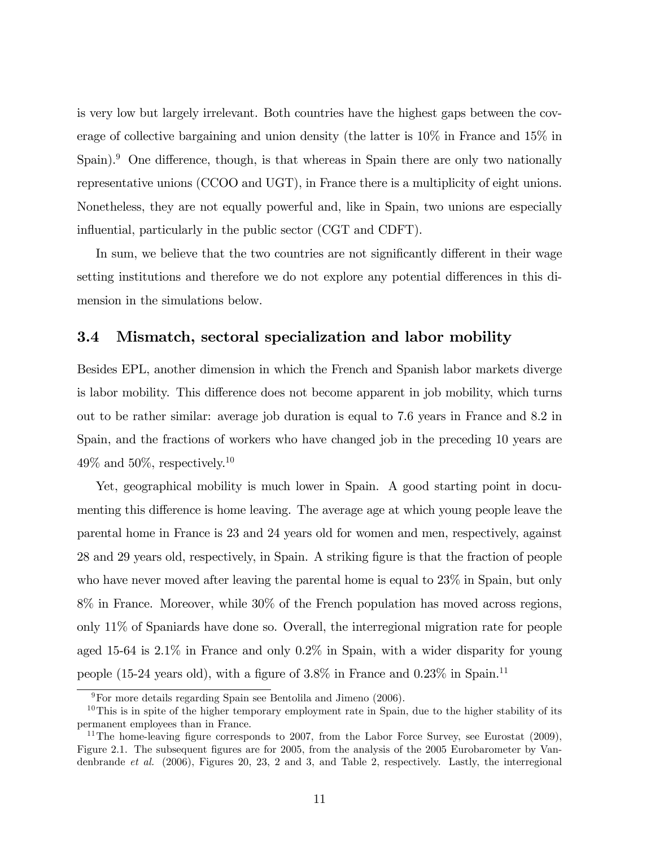is very low but largely irrelevant. Both countries have the highest gaps between the coverage of collective bargaining and union density (the latter is 10% in France and 15% in  $\text{Span.}^9$  One difference, though, is that whereas in Spain there are only two nationally representative unions (CCOO and UGT), in France there is a multiplicity of eight unions. Nonetheless, they are not equally powerful and, like in Spain, two unions are especially influential, particularly in the public sector (CGT and CDFT).

In sum, we believe that the two countries are not significantly different in their wage setting institutions and therefore we do not explore any potential differences in this dimension in the simulations below.

#### 3.4 Mismatch, sectoral specialization and labor mobility

Besides EPL, another dimension in which the French and Spanish labor markets diverge is labor mobility. This difference does not become apparent in job mobility, which turns out to be rather similar: average job duration is equal to 7.6 years in France and 8.2 in Spain, and the fractions of workers who have changed job in the preceding 10 years are  $49\%$  and  $50\%$ , respectively.<sup>10</sup>

Yet, geographical mobility is much lower in Spain. A good starting point in documenting this difference is home leaving. The average age at which young people leave the parental home in France is 23 and 24 years old for women and men, respectively, against 28 and 29 years old, respectively, in Spain. A striking figure is that the fraction of people who have never moved after leaving the parental home is equal to 23% in Spain, but only 8% in France. Moreover, while 30% of the French population has moved across regions, only 11% of Spaniards have done so. Overall, the interregional migration rate for people aged 15-64 is 2.1% in France and only 0.2% in Spain, with a wider disparity for young people (15-24 years old), with a figure of  $3.8\%$  in France and  $0.23\%$  in Spain.<sup>11</sup>

 $9^9$ For more details regarding Spain see Bentolila and Jimeno (2006).

 $10$ This is in spite of the higher temporary employment rate in Spain, due to the higher stability of its permanent employees than in France.

<sup>&</sup>lt;sup>11</sup>The home-leaving figure corresponds to 2007, from the Labor Force Survey, see Eurostat  $(2009)$ , Figure 2.1. The subsequent figures are for 2005, from the analysis of the 2005 Eurobarometer by Vandenbrande et al. (2006), Figures 20, 23, 2 and 3, and Table 2, respectively. Lastly, the interregional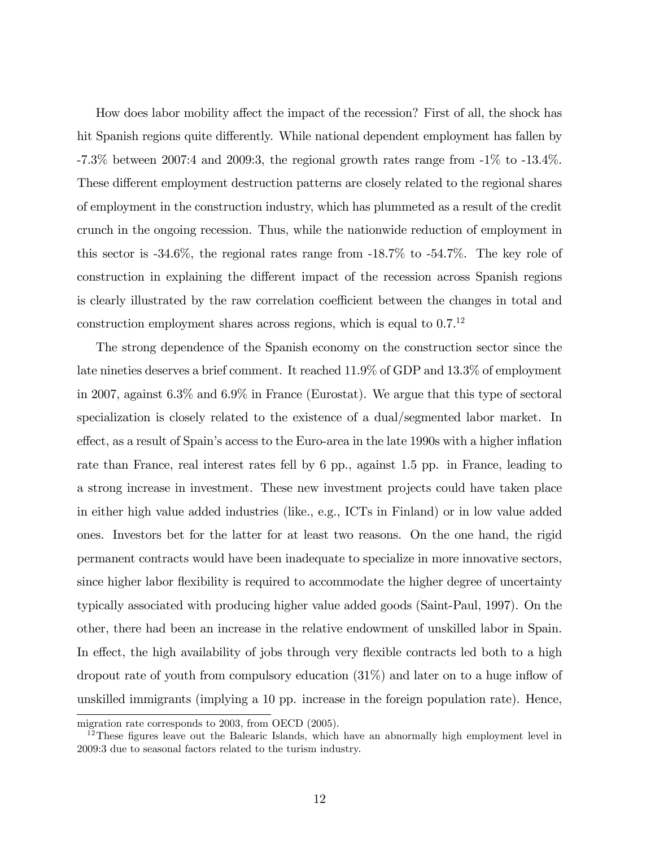How does labor mobility affect the impact of the recession? First of all, the shock has hit Spanish regions quite differently. While national dependent employment has fallen by  $-7.3\%$  between 2007:4 and 2009:3, the regional growth rates range from  $-1\%$  to  $-13.4\%$ . These different employment destruction patterns are closely related to the regional shares of employment in the construction industry, which has plummeted as a result of the credit crunch in the ongoing recession. Thus, while the nationwide reduction of employment in this sector is -34.6%, the regional rates range from -18.7% to -54.7%. The key role of construction in explaining the different impact of the recession across Spanish regions is clearly illustrated by the raw correlation coefficient between the changes in total and construction employment shares across regions, which is equal to 0.7.<sup>12</sup>

The strong dependence of the Spanish economy on the construction sector since the late nineties deserves a brief comment. It reached 11.9% of GDP and 13.3% of employment in 2007, against 6.3% and 6.9% in France (Eurostat). We argue that this type of sectoral specialization is closely related to the existence of a dual/segmented labor market. In effect, as a result of Spain's access to the Euro-area in the late 1990s with a higher inflation rate than France, real interest rates fell by 6 pp., against 1.5 pp. in France, leading to a strong increase in investment. These new investment projects could have taken place in either high value added industries (like., e.g., ICTs in Finland) or in low value added ones. Investors bet for the latter for at least two reasons. On the one hand, the rigid permanent contracts would have been inadequate to specialize in more innovative sectors, since higher labor flexibility is required to accommodate the higher degree of uncertainty typically associated with producing higher value added goods (Saint-Paul, 1997). On the other, there had been an increase in the relative endowment of unskilled labor in Spain. In effect, the high availability of jobs through very flexible contracts led both to a high dropout rate of youth from compulsory education  $(31\%)$  and later on to a huge inflow of unskilled immigrants (implying a 10 pp. increase in the foreign population rate). Hence,

migration rate corresponds to 2003, from OECD (2005).

 $12$ These figures leave out the Balearic Islands, which have an abnormally high employment level in 2009:3 due to seasonal factors related to the turism industry.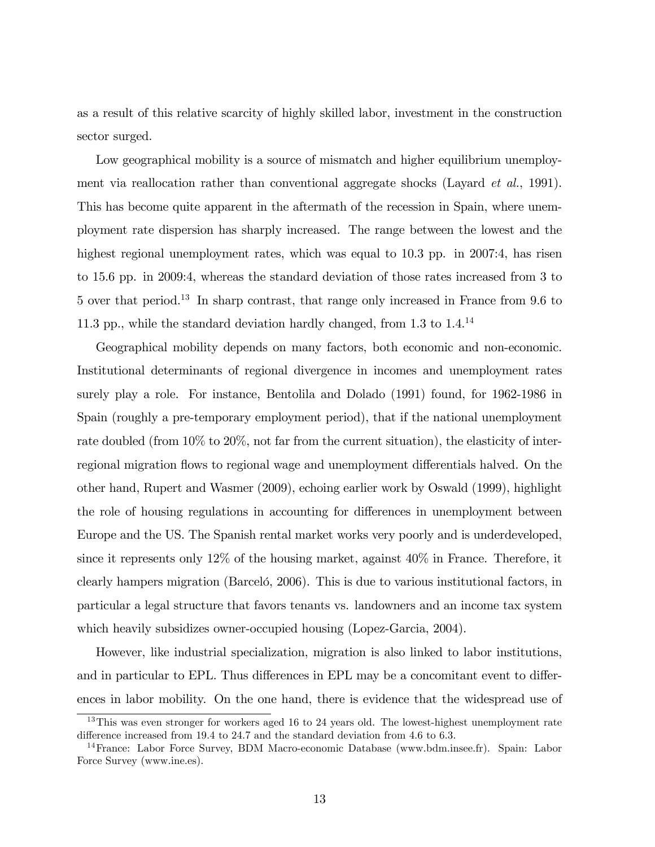as a result of this relative scarcity of highly skilled labor, investment in the construction sector surged.

Low geographical mobility is a source of mismatch and higher equilibrium unemployment via reallocation rather than conventional aggregate shocks (Layard *et al.*, 1991). This has become quite apparent in the aftermath of the recession in Spain, where unemployment rate dispersion has sharply increased. The range between the lowest and the highest regional unemployment rates, which was equal to 10.3 pp. in 2007:4, has risen to 15.6 pp. in 2009:4, whereas the standard deviation of those rates increased from 3 to 5 over that period.<sup>13</sup> In sharp contrast, that range only increased in France from 9.6 to 11.3 pp., while the standard deviation hardly changed, from  $1.3$  to  $1.4$ .<sup>14</sup>

Geographical mobility depends on many factors, both economic and non-economic. Institutional determinants of regional divergence in incomes and unemployment rates surely play a role. For instance, Bentolila and Dolado (1991) found, for 1962-1986 in Spain (roughly a pre-temporary employment period), that if the national unemployment rate doubled (from 10% to 20%, not far from the current situation), the elasticity of interregional migration flows to regional wage and unemployment differentials halved. On the other hand, Rupert and Wasmer (2009), echoing earlier work by Oswald (1999), highlight the role of housing regulations in accounting for differences in unemployment between Europe and the US. The Spanish rental market works very poorly and is underdeveloped, since it represents only 12% of the housing market, against 40% in France. Therefore, it clearly hampers migration (Barceló, 2006). This is due to various institutional factors, in particular a legal structure that favors tenants vs. landowners and an income tax system which heavily subsidizes owner-occupied housing (Lopez-Garcia, 2004).

However, like industrial specialization, migration is also linked to labor institutions, and in particular to EPL. Thus differences in EPL may be a concomitant event to differences in labor mobility. On the one hand, there is evidence that the widespread use of

<sup>&</sup>lt;sup>13</sup>This was even stronger for workers aged 16 to 24 years old. The lowest-highest unemployment rate difference increased from 19.4 to 24.7 and the standard deviation from 4.6 to 6.3.

<sup>&</sup>lt;sup>14</sup>France: Labor Force Survey, BDM Macro-economic Database (www.bdm.insee.fr). Spain: Labor Force Survey (www.ine.es).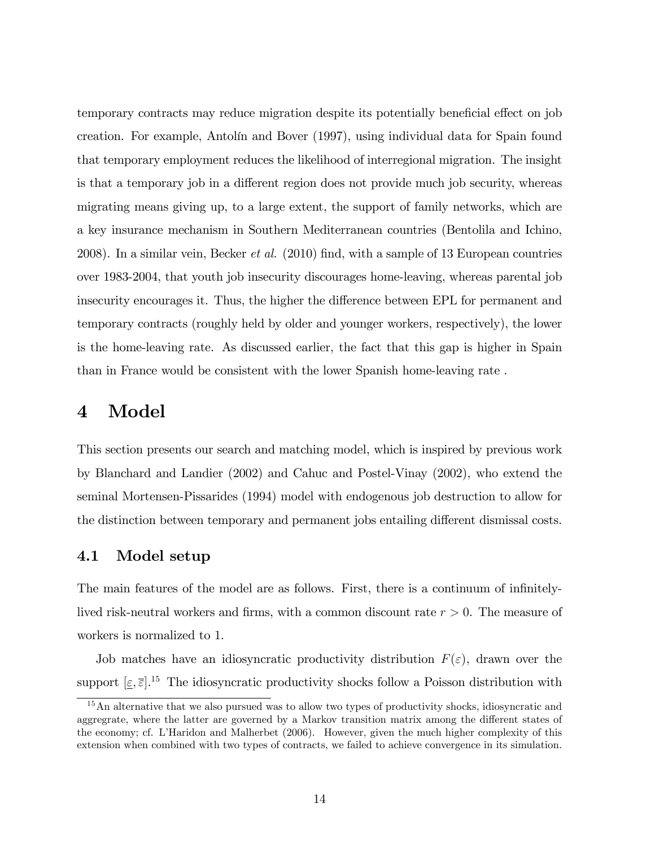temporary contracts may reduce migration despite its potentially beneficial effect on job creation. For example, Antolín and Bover (1997), using individual data for Spain found that temporary employment reduces the likelihood of interregional migration. The insight is that a temporary job in a different region does not provide much job security, whereas migrating means giving up, to a large extent, the support of family networks, which are a key insurance mechanism in Southern Mediterranean countries (Bentolila and Ichino, 2008). In a similar vein, Becker *et al.*  $(2010)$  find, with a sample of 13 European countries over 1983-2004, that youth job insecurity discourages home-leaving, whereas parental job insecurity encourages it. Thus, the higher the difference between EPL for permanent and temporary contracts (roughly held by older and younger workers, respectively), the lower is the home-leaving rate. As discussed earlier, the fact that this gap is higher in Spain than in France would be consistent with the lower Spanish home-leaving rate .

# 4 Model

This section presents our search and matching model, which is inspired by previous work by Blanchard and Landier (2002) and Cahuc and Postel-Vinay (2002), who extend the seminal Mortensen-Pissarides (1994) model with endogenous job destruction to allow for the distinction between temporary and permanent jobs entailing different dismissal costs.

#### 4.1 Model setup

The main features of the model are as follows. First, there is a continuum of infinitelylived risk-neutral workers and firms, with a common discount rate  $r > 0$ . The measure of workers is normalized to 1.

Job matches have an idiosyncratic productivity distribution  $F(\varepsilon)$ , drawn over the support  $[\underline{\varepsilon}, \overline{\varepsilon}]$ .<sup>15</sup> The idiosyncratic productivity shocks follow a Poisson distribution with

<sup>&</sup>lt;sup>15</sup>An alternative that we also pursued was to allow two types of productivity shocks, idiosyncratic and aggregrate, where the latter are governed by a Markov transition matrix among the different states of the economy; cf. LíHaridon and Malherbet (2006). However, given the much higher complexity of this extension when combined with two types of contracts, we failed to achieve convergence in its simulation.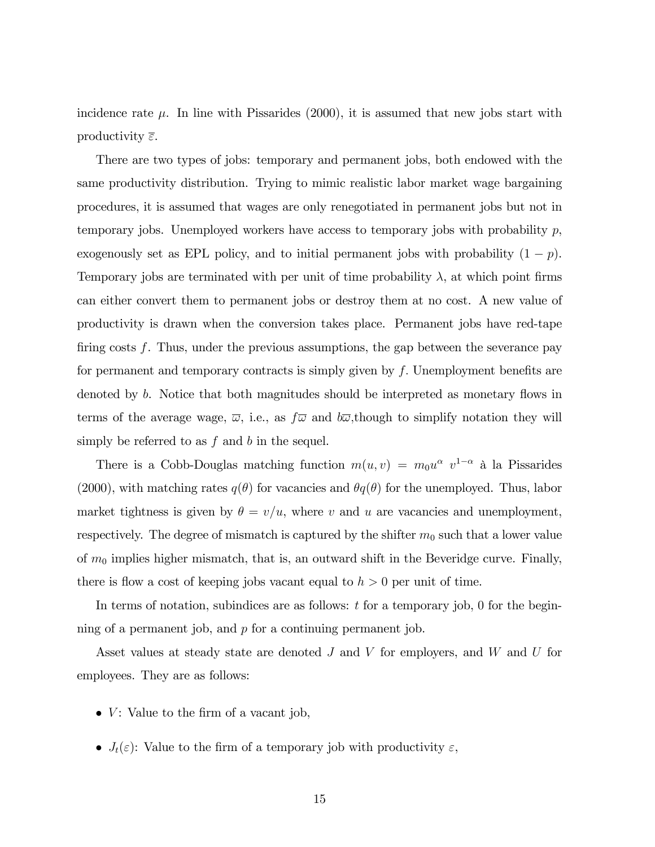incidence rate  $\mu$ . In line with Pissarides (2000), it is assumed that new jobs start with productivity  $\bar{\varepsilon}$ .

There are two types of jobs: temporary and permanent jobs, both endowed with the same productivity distribution. Trying to mimic realistic labor market wage bargaining procedures, it is assumed that wages are only renegotiated in permanent jobs but not in temporary jobs. Unemployed workers have access to temporary jobs with probability  $p$ , exogenously set as EPL policy, and to initial permanent jobs with probability  $(1 - p)$ . Temporary jobs are terminated with per unit of time probability  $\lambda$ , at which point firms can either convert them to permanent jobs or destroy them at no cost. A new value of productivity is drawn when the conversion takes place. Permanent jobs have red-tape firing costs  $f$ . Thus, under the previous assumptions, the gap between the severance pay for permanent and temporary contracts is simply given by  $f$ . Unemployment benefits are denoted by b. Notice that both magnitudes should be interpreted as monetary flows in terms of the average wage,  $\overline{\omega}$ , i.e., as  $f\overline{\omega}$  and  $b\overline{\omega}$ , though to simplify notation they will simply be referred to as  $f$  and  $b$  in the sequel.

There is a Cobb-Douglas matching function  $m(u, v) = m_0 u^{\alpha} v^{1-\alpha}$  à la Pissarides (2000), with matching rates  $q(\theta)$  for vacancies and  $\theta q(\theta)$  for the unemployed. Thus, labor market tightness is given by  $\theta = v/u$ , where v and u are vacancies and unemployment, respectively. The degree of mismatch is captured by the shifter  $m_0$  such that a lower value of  $m_0$  implies higher mismatch, that is, an outward shift in the Beveridge curve. Finally, there is flow a cost of keeping jobs vacant equal to  $h > 0$  per unit of time.

In terms of notation, subindices are as follows:  $t$  for a temporary job, 0 for the beginning of a permanent job, and  $p$  for a continuing permanent job.

Asset values at steady state are denoted  $J$  and  $V$  for employers, and  $W$  and  $U$  for employees. They are as follows:

- $\bullet$  V: Value to the firm of a vacant job,
- $J_t(\varepsilon)$ : Value to the firm of a temporary job with productivity  $\varepsilon$ ,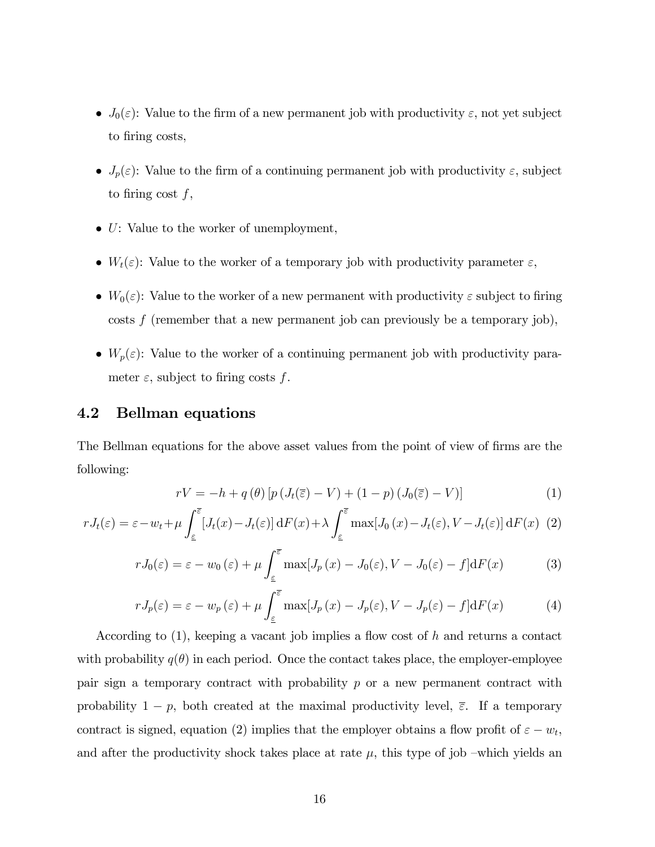- $J_0(\varepsilon)$ : Value to the firm of a new permanent job with productivity  $\varepsilon$ , not yet subject to firing costs,
- $J_p(\varepsilon)$ : Value to the firm of a continuing permanent job with productivity  $\varepsilon$ , subject to firing cost  $f$ ,
- $\bullet$  U: Value to the worker of unemployment,
- $W_t(\varepsilon)$ : Value to the worker of a temporary job with productivity parameter  $\varepsilon$ ,
- $W_0(\varepsilon)$ : Value to the worker of a new permanent with productivity  $\varepsilon$  subject to firing costs  $f$  (remember that a new permanent job can previously be a temporary job),
- $W_p(\varepsilon)$ : Value to the worker of a continuing permanent job with productivity parameter  $\varepsilon$ , subject to firing costs f.

## 4.2 Bellman equations

The Bellman equations for the above asset values from the point of view of firms are the following:

$$
rV = -h + q(\theta) \left[ p \left( J_t(\overline{\varepsilon}) - V \right) + (1 - p) \left( J_0(\overline{\varepsilon}) - V \right) \right]
$$
 (1)

$$
rJ_t(\varepsilon) = \varepsilon - w_t + \mu \int_{\varepsilon}^{\overline{\varepsilon}} \left[ J_t(x) - J_t(\varepsilon) \right] dF(x) + \lambda \int_{\varepsilon}^{\overline{\varepsilon}} \max\left[ J_0(x) - J_t(\varepsilon), V - J_t(\varepsilon) \right] dF(x) \tag{2}
$$

$$
rJ_0(\varepsilon) = \varepsilon - w_0(\varepsilon) + \mu \int_{\varepsilon}^{\overline{\varepsilon}} \max[J_p(x) - J_0(\varepsilon), V - J_0(\varepsilon) - f] dF(x) \tag{3}
$$

$$
rJ_p(\varepsilon) = \varepsilon - w_p(\varepsilon) + \mu \int_{\varepsilon}^{\overline{\varepsilon}} \max[J_p(x) - J_p(\varepsilon), V - J_p(\varepsilon) - f] dF(x) \tag{4}
$$

According to  $(1)$ , keeping a vacant job implies a flow cost of h and returns a contact with probability  $q(\theta)$  in each period. Once the contact takes place, the employer-employee pair sign a temporary contract with probability  $p$  or a new permanent contract with probability  $1 - p$ , both created at the maximal productivity level,  $\overline{\varepsilon}$ . If a temporary contract is signed, equation (2) implies that the employer obtains a flow profit of  $\varepsilon - w_t$ , and after the productivity shock takes place at rate  $\mu$ , this type of job –which yields an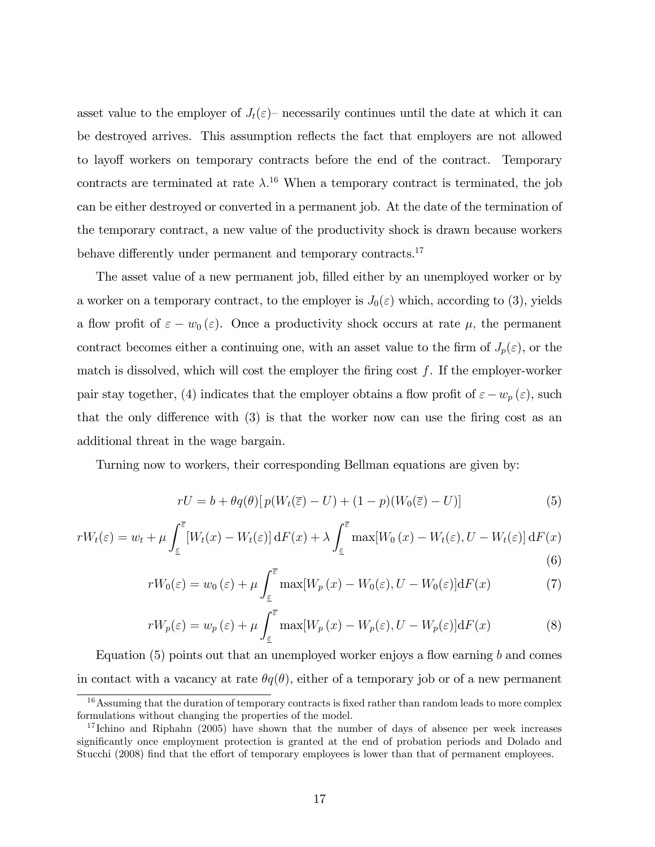asset value to the employer of  $J_t(\varepsilon)$  necessarily continues until the date at which it can be destroyed arrives. This assumption reflects the fact that employers are not allowed to layoff workers on temporary contracts before the end of the contract. Temporary contracts are terminated at rate  $\lambda$ .<sup>16</sup> When a temporary contract is terminated, the job can be either destroyed or converted in a permanent job. At the date of the termination of the temporary contract, a new value of the productivity shock is drawn because workers behave differently under permanent and temporary contracts.<sup>17</sup>

The asset value of a new permanent job, filled either by an unemployed worker or by a worker on a temporary contract, to the employer is  $J_0(\varepsilon)$  which, according to (3), yields a flow profit of  $\varepsilon - w_0 (\varepsilon)$ . Once a productivity shock occurs at rate  $\mu$ , the permanent contract becomes either a continuing one, with an asset value to the firm of  $J_p(\varepsilon)$ , or the match is dissolved, which will cost the employer the firing cost  $f$ . If the employer-worker pair stay together, (4) indicates that the employer obtains a flow profit of  $\varepsilon - w_p(\varepsilon)$ , such that the only difference with  $(3)$  is that the worker now can use the firing cost as an additional threat in the wage bargain.

Turning now to workers, their corresponding Bellman equations are given by:

$$
rU = b + \theta q(\theta) \left[ p(W_t(\overline{\varepsilon}) - U) + (1 - p)(W_0(\overline{\varepsilon}) - U) \right]
$$
(5)

$$
rW_t(\varepsilon) = w_t + \mu \int_{\varepsilon}^{\overline{\varepsilon}} \left[ W_t(x) - W_t(\varepsilon) \right] dF(x) + \lambda \int_{\varepsilon}^{\overline{\varepsilon}} \max[W_0(x) - W_t(\varepsilon), U - W_t(\varepsilon)] dF(x) \tag{6}
$$

$$
rW_0(\varepsilon) = w_0(\varepsilon) + \mu \int_{\varepsilon}^{\overline{\varepsilon}} \max[W_p(x) - W_0(\varepsilon), U - W_0(\varepsilon)] \mathrm{d}F(x) \tag{7}
$$

$$
rW_p(\varepsilon) = w_p(\varepsilon) + \mu \int_{\varepsilon}^{\overline{\varepsilon}} \max[W_p(x) - W_p(\varepsilon), U - W_p(\varepsilon)] \mathrm{d}F(x) \tag{8}
$$

Equation  $(5)$  points out that an unemployed worker enjoys a flow earning b and comes in contact with a vacancy at rate  $\theta q(\theta)$ , either of a temporary job or of a new permanent

 $16$ Assuming that the duration of temporary contracts is fixed rather than random leads to more complex formulations without changing the properties of the model.

 $17$  Ichino and Riphahn (2005) have shown that the number of days of absence per week increases significantly once employment protection is granted at the end of probation periods and Dolado and Stucchi (2008) find that the effort of temporary employees is lower than that of permanent employees.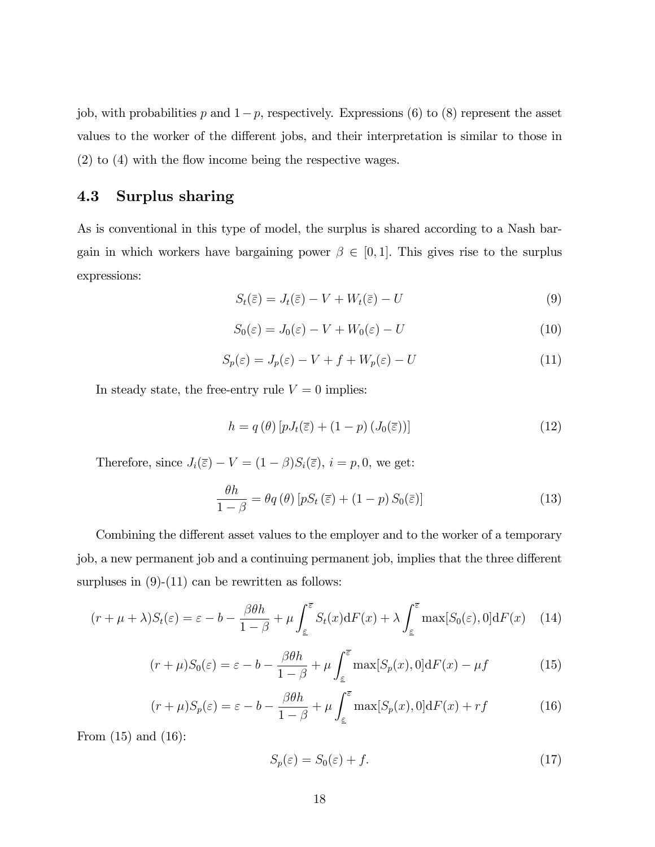job, with probabilities p and  $1-p$ , respectively. Expressions (6) to (8) represent the asset values to the worker of the different jobs, and their interpretation is similar to those in  $(2)$  to  $(4)$  with the flow income being the respective wages.

## 4.3 Surplus sharing

As is conventional in this type of model, the surplus is shared according to a Nash bargain in which workers have bargaining power  $\beta \in [0, 1]$ . This gives rise to the surplus expressions:

$$
S_t(\bar{\varepsilon}) = J_t(\bar{\varepsilon}) - V + W_t(\bar{\varepsilon}) - U \tag{9}
$$

$$
S_0(\varepsilon) = J_0(\varepsilon) - V + W_0(\varepsilon) - U \tag{10}
$$

$$
S_p(\varepsilon) = J_p(\varepsilon) - V + f + W_p(\varepsilon) - U \tag{11}
$$

In steady state, the free-entry rule  $V = 0$  implies:

$$
h = q(\theta) \left[ p J_t(\overline{\varepsilon}) + (1 - p) (J_0(\overline{\varepsilon})) \right]
$$
 (12)

Therefore, since  $J_i(\overline{\varepsilon}) - V = (1 - \beta)S_i(\overline{\varepsilon}), i = p, 0$ , we get:

$$
\frac{\theta h}{1-\beta} = \theta q(\theta) \left[ pS_t\left(\overline{\varepsilon}\right) + (1-p) S_0(\overline{\varepsilon}) \right]
$$
(13)

Combining the different asset values to the employer and to the worker of a temporary job, a new permanent job and a continuing permanent job, implies that the three different surpluses in  $(9)-(11)$  can be rewritten as follows:

$$
(r + \mu + \lambda)S_t(\varepsilon) = \varepsilon - b - \frac{\beta \theta h}{1 - \beta} + \mu \int_{\varepsilon}^{\overline{\varepsilon}} S_t(x) dF(x) + \lambda \int_{\varepsilon}^{\overline{\varepsilon}} \max[S_0(\varepsilon), 0] dF(x) \quad (14)
$$

$$
(r+\mu)S_0(\varepsilon) = \varepsilon - b - \frac{\beta \theta h}{1-\beta} + \mu \int_{\varepsilon}^{\overline{\varepsilon}} \max[S_p(x), 0] dF(x) - \mu f \tag{15}
$$

$$
(r+\mu)S_p(\varepsilon) = \varepsilon - b - \frac{\beta \theta h}{1-\beta} + \mu \int_{\varepsilon}^{\overline{\varepsilon}} \max[S_p(x), 0] dF(x) + rf \tag{16}
$$

From  $(15)$  and  $(16)$ :

$$
S_p(\varepsilon) = S_0(\varepsilon) + f. \tag{17}
$$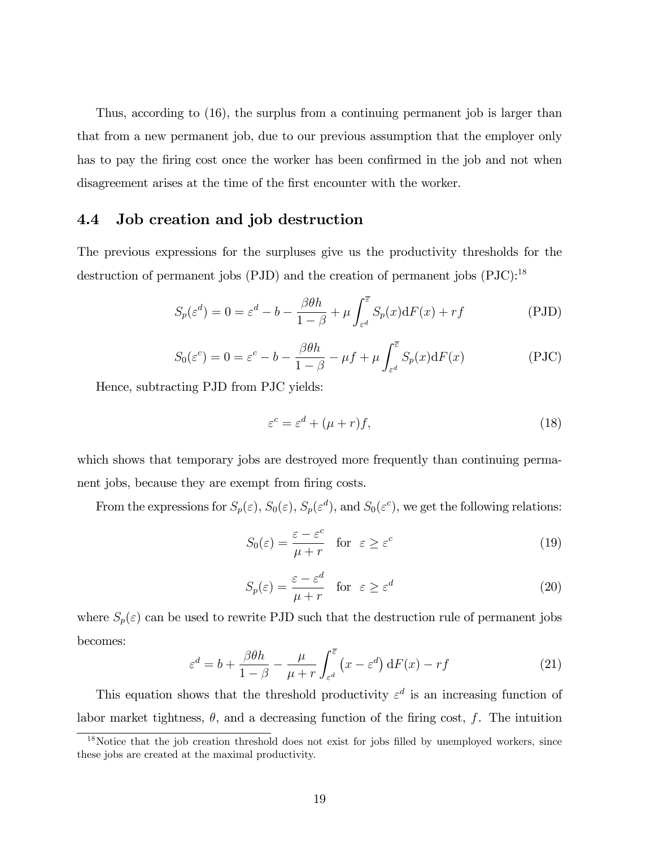Thus, according to (16), the surplus from a continuing permanent job is larger than that from a new permanent job, due to our previous assumption that the employer only has to pay the firing cost once the worker has been confirmed in the job and not when disagreement arises at the time of the first encounter with the worker.

### 4.4 Job creation and job destruction

The previous expressions for the surpluses give us the productivity thresholds for the destruction of permanent jobs (PJD) and the creation of permanent jobs (PJC):<sup>18</sup>

$$
S_p(\varepsilon^d) = 0 = \varepsilon^d - b - \frac{\beta \theta h}{1 - \beta} + \mu \int_{\varepsilon^d}^{\overline{\varepsilon}} S_p(x) dF(x) + rf
$$
 (PJD)

$$
S_0(\varepsilon^c) = 0 = \varepsilon^c - b - \frac{\beta \theta h}{1 - \beta} - \mu f + \mu \int_{\varepsilon^d}^{\overline{\varepsilon}} S_p(x) dF(x)
$$
 (PJC)

Hence, subtracting PJD from PJC yields:

$$
\varepsilon^c = \varepsilon^d + (\mu + r)f,\tag{18}
$$

which shows that temporary jobs are destroyed more frequently than continuing permanent jobs, because they are exempt from firing costs.

From the expressions for  $S_p(\varepsilon)$ ,  $S_0(\varepsilon)$ ,  $S_p(\varepsilon^d)$ , and  $S_0(\varepsilon^c)$ , we get the following relations:

$$
S_0(\varepsilon) = \frac{\varepsilon - \varepsilon^c}{\mu + r} \quad \text{for} \quad \varepsilon \ge \varepsilon^c \tag{19}
$$

$$
S_p(\varepsilon) = \frac{\varepsilon - \varepsilon^d}{\mu + r} \quad \text{for} \quad \varepsilon \ge \varepsilon^d \tag{20}
$$

where  $S_p(\varepsilon)$  can be used to rewrite PJD such that the destruction rule of permanent jobs becomes:

$$
\varepsilon^{d} = b + \frac{\beta \theta h}{1 - \beta} - \frac{\mu}{\mu + r} \int_{\varepsilon^{d}}^{\overline{\varepsilon}} (x - \varepsilon^{d}) \, dF(x) - rf \tag{21}
$$

This equation shows that the threshold productivity  $\varepsilon^d$  is an increasing function of labor market tightness,  $\theta$ , and a decreasing function of the firing cost, f. The intuition

 $18$ Notice that the job creation threshold does not exist for jobs filled by unemployed workers, since these jobs are created at the maximal productivity.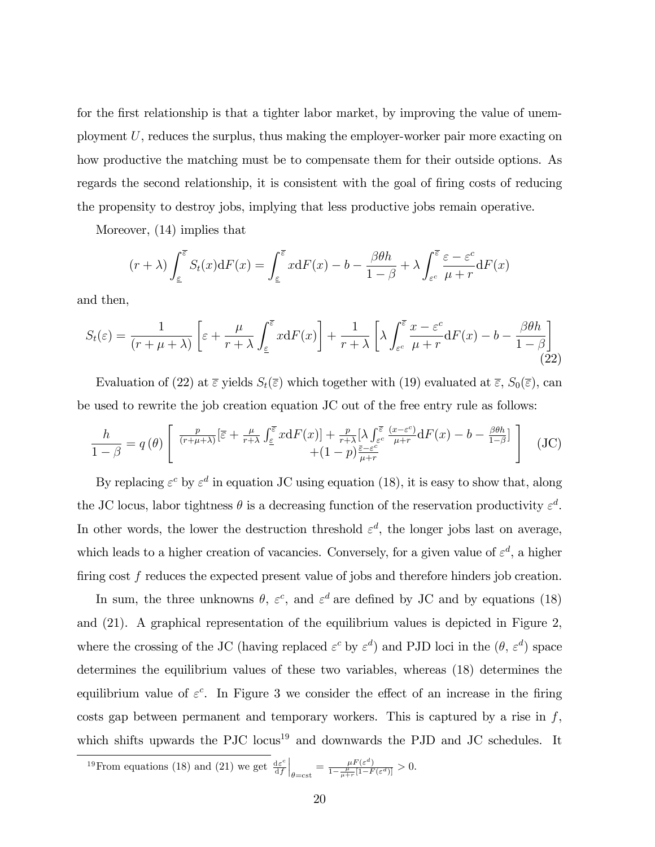for the first relationship is that a tighter labor market, by improving the value of unemployment U, reduces the surplus, thus making the employer-worker pair more exacting on how productive the matching must be to compensate them for their outside options. As regards the second relationship, it is consistent with the goal of firing costs of reducing the propensity to destroy jobs, implying that less productive jobs remain operative.

Moreover, (14) implies that

$$
(r+\lambda)\int_{\underline{\varepsilon}}^{\overline{\varepsilon}}S_t(x)\mathrm{d}F(x)=\int_{\underline{\varepsilon}}^{\overline{\varepsilon}}x\mathrm{d}F(x)-b-\frac{\beta\theta h}{1-\beta}+\lambda\int_{\varepsilon^c}^{\overline{\varepsilon}}\frac{\varepsilon-\varepsilon^c}{\mu+r}\mathrm{d}F(x)
$$

and then,

$$
S_t(\varepsilon) = \frac{1}{(r+\mu+\lambda)} \left[ \varepsilon + \frac{\mu}{r+\lambda} \int_{\varepsilon}^{\overline{\varepsilon}} x \mathrm{d}F(x) \right] + \frac{1}{r+\lambda} \left[ \lambda \int_{\varepsilon}^{\overline{\varepsilon}} \frac{x-\varepsilon^c}{\mu+r} \mathrm{d}F(x) - b - \frac{\beta \theta h}{1-\beta} \right] \tag{22}
$$

Evaluation of (22) at  $\bar{\varepsilon}$  yields  $S_t(\bar{\varepsilon})$  which together with (19) evaluated at  $\bar{\varepsilon}$ ,  $S_0(\bar{\varepsilon})$ , can be used to rewrite the job creation equation JC out of the free entry rule as follows:

$$
\frac{h}{1-\beta} = q(\theta) \left[ \frac{\frac{p}{(r+\mu+\lambda)}[\bar{\varepsilon} + \frac{\mu}{r+\lambda} \int_{\bar{\varepsilon}}^{\bar{\varepsilon}} x dF(x)] + \frac{p}{r+\lambda} [\lambda \int_{\varepsilon^c}^{\bar{\varepsilon}} \frac{(x-\varepsilon^c)}{\mu+r} dF(x) - b - \frac{\beta\theta h}{1-\beta}] + (JC)\right]
$$
(JC)

By replacing  $\varepsilon^c$  by  $\varepsilon^d$  in equation JC using equation (18), it is easy to show that, along the JC locus, labor tightness  $\theta$  is a decreasing function of the reservation productivity  $\varepsilon^d$ . In other words, the lower the destruction threshold  $\varepsilon^d$ , the longer jobs last on average, which leads to a higher creation of vacancies. Conversely, for a given value of  $\varepsilon^d$ , a higher firing cost  $f$  reduces the expected present value of jobs and therefore hinders job creation.

In sum, the three unknowns  $\theta$ ,  $\varepsilon^c$ , and  $\varepsilon^d$  are defined by JC and by equations (18) and (21). A graphical representation of the equilibrium values is depicted in Figure 2, where the crossing of the JC (having replaced  $\varepsilon^c$  by  $\varepsilon^d$ ) and PJD loci in the  $(\theta, \varepsilon^d)$  space determines the equilibrium values of these two variables, whereas (18) determines the equilibrium value of  $\varepsilon^c$ . In Figure 3 we consider the effect of an increase in the firing costs gap between permanent and temporary workers. This is captured by a rise in  $f$ , which shifts upwards the PJC locus<sup>19</sup> and downwards the PJD and JC schedules. It

<sup>&</sup>lt;sup>19</sup> From equations (18) and (21) we get  $\frac{d\varepsilon^c}{dt}$ df  $\Big|_{\theta=\text{cst}}=\frac{\mu F(\varepsilon^d)}{1-\frac{\mu}{\mu+r}[1-F}$  $\frac{\mu F(\varepsilon)}{1-\frac{\mu}{\mu+r}[1-F(\varepsilon^d)]}>0.$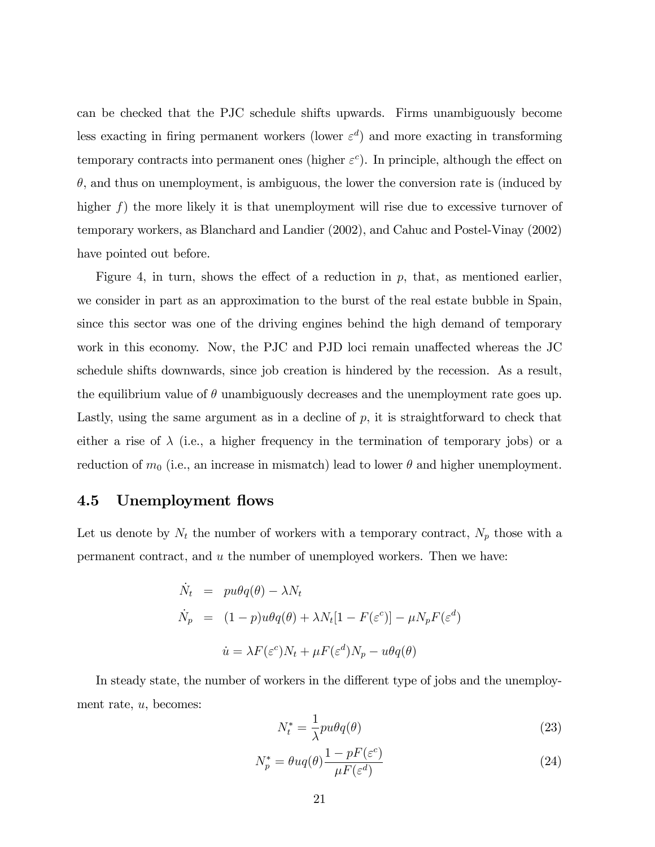can be checked that the PJC schedule shifts upwards. Firms unambiguously become less exacting in firing permanent workers (lower  $\varepsilon^d$ ) and more exacting in transforming temporary contracts into permanent ones (higher  $\varepsilon^c$ ). In principle, although the effect on  $\theta$ , and thus on unemployment, is ambiguous, the lower the conversion rate is (induced by higher  $f$ ) the more likely it is that unemployment will rise due to excessive turnover of temporary workers, as Blanchard and Landier (2002), and Cahuc and Postel-Vinay (2002) have pointed out before.

Figure 4, in turn, shows the effect of a reduction in  $p$ , that, as mentioned earlier, we consider in part as an approximation to the burst of the real estate bubble in Spain, since this sector was one of the driving engines behind the high demand of temporary work in this economy. Now, the PJC and PJD loci remain unaffected whereas the JC schedule shifts downwards, since job creation is hindered by the recession. As a result, the equilibrium value of  $\theta$  unambiguously decreases and the unemployment rate goes up. Lastly, using the same argument as in a decline of  $p$ , it is straightforward to check that either a rise of  $\lambda$  (i.e., a higher frequency in the termination of temporary jobs) or a reduction of  $m_0$  (i.e., an increase in mismatch) lead to lower  $\theta$  and higher unemployment.

#### 4.5 Unemployment flows

Let us denote by  $N_t$  the number of workers with a temporary contract,  $N_p$  those with a permanent contract, and u the number of unemployed workers. Then we have:

$$
\dot{N}_t = pu\theta q(\theta) - \lambda N_t
$$
\n
$$
\dot{N}_p = (1 - p)u\theta q(\theta) + \lambda N_t [1 - F(\varepsilon^c)] - \mu N_p F(\varepsilon^d)
$$
\n
$$
\dot{u} = \lambda F(\varepsilon^c) N_t + \mu F(\varepsilon^d) N_p - u\theta q(\theta)
$$

In steady state, the number of workers in the different type of jobs and the unemployment rate, u, becomes:

$$
N_t^* = \frac{1}{\lambda}pu\theta q(\theta)
$$
\n(23)

$$
N_p^* = \theta u q(\theta) \frac{1 - pF(\varepsilon^c)}{\mu F(\varepsilon^d)}
$$
\n(24)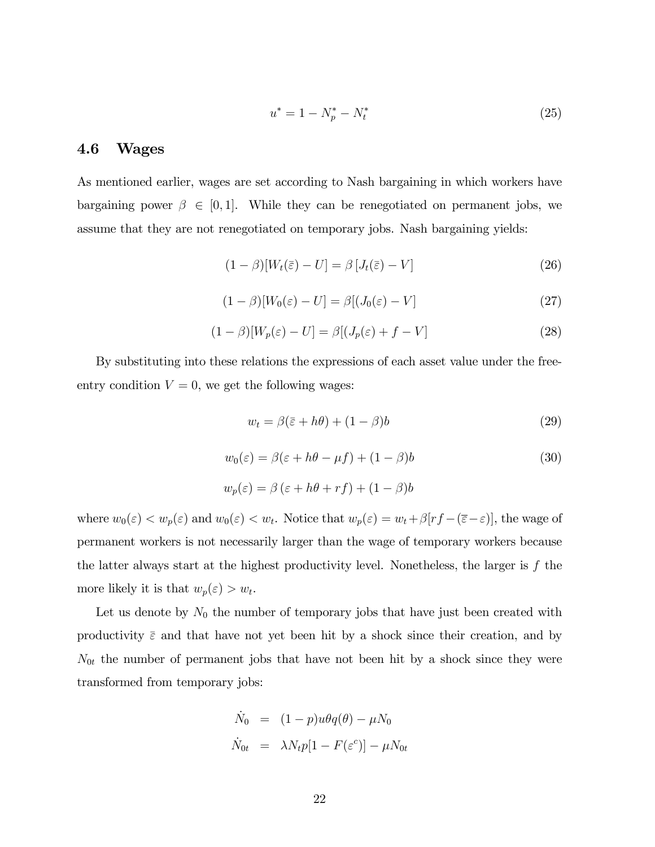$$
u^* = 1 - N_p^* - N_t^* \tag{25}
$$

#### 4.6 Wages

As mentioned earlier, wages are set according to Nash bargaining in which workers have bargaining power  $\beta \in [0, 1]$ . While they can be renegotiated on permanent jobs, we assume that they are not renegotiated on temporary jobs. Nash bargaining yields:

$$
(1 - \beta)[W_t(\bar{\varepsilon}) - U] = \beta [J_t(\bar{\varepsilon}) - V]
$$
\n(26)

$$
(1 - \beta)[W_0(\varepsilon) - U] = \beta[(J_0(\varepsilon) - V] \tag{27}
$$

$$
(1 - \beta)[W_p(\varepsilon) - U] = \beta[(J_p(\varepsilon) + f - V]
$$
\n(28)

By substituting into these relations the expressions of each asset value under the freeentry condition  $V = 0$ , we get the following wages:

$$
w_t = \beta(\bar{z} + h\theta) + (1 - \beta)b \tag{29}
$$

$$
w_0(\varepsilon) = \beta(\varepsilon + h\theta - \mu f) + (1 - \beta)b \tag{30}
$$

$$
w_p(\varepsilon) = \beta (\varepsilon + h\theta + rf) + (1 - \beta)b
$$

where  $w_0(\varepsilon) < w_p(\varepsilon)$  and  $w_0(\varepsilon) < w_t$ . Notice that  $w_p(\varepsilon) = w_t + \beta[r_f - (\overline{\varepsilon} - \varepsilon)]$ , the wage of permanent workers is not necessarily larger than the wage of temporary workers because the latter always start at the highest productivity level. Nonetheless, the larger is f the more likely it is that  $w_p(\varepsilon) > w_t$ .

Let us denote by  $N_0$  the number of temporary jobs that have just been created with productivity  $\bar{\varepsilon}$  and that have not yet been hit by a shock since their creation, and by  $N_{0t}$  the number of permanent jobs that have not been hit by a shock since they were transformed from temporary jobs:

$$
\dot{N}_0 = (1 - p)u\theta q(\theta) - \mu N_0
$$
  

$$
\dot{N}_{0t} = \lambda N_t p[1 - F(\varepsilon^c)] - \mu N_{0t}
$$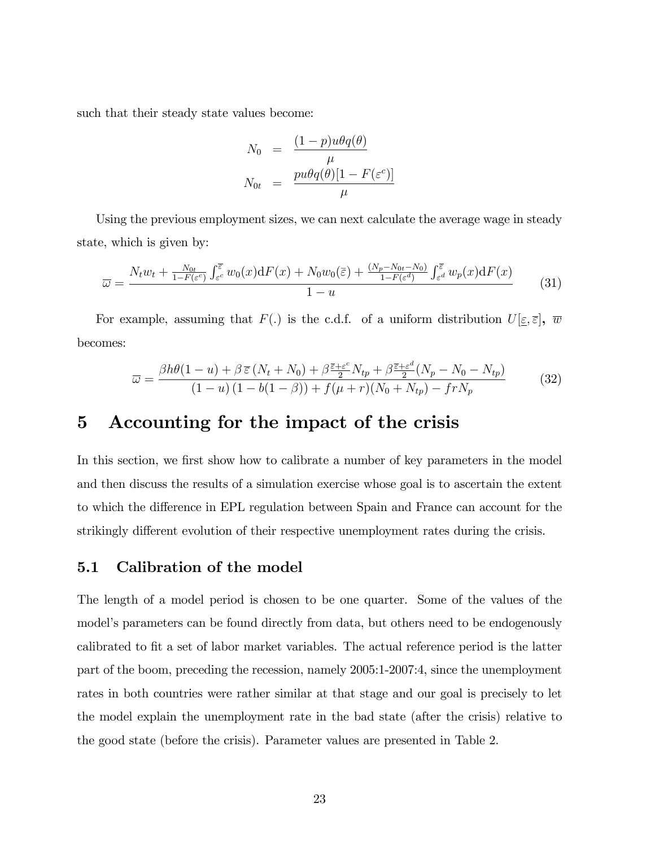such that their steady state values become:

$$
N_0 = \frac{(1-p)u\theta q(\theta)}{\mu}
$$
  

$$
N_{0t} = \frac{pu\theta q(\theta)[1 - F(\varepsilon^c)]}{\mu}
$$

Using the previous employment sizes, we can next calculate the average wage in steady state, which is given by:

$$
\overline{\omega} = \frac{N_t w_t + \frac{N_{0t}}{1 - F(\varepsilon^c)} \int_{\varepsilon^c}^{\overline{\varepsilon}} w_0(x) dF(x) + N_0 w_0(\overline{\varepsilon}) + \frac{(N_p - N_{0t} - N_0)}{1 - F(\varepsilon^d)} \int_{\varepsilon^d}^{\overline{\varepsilon}} w_p(x) dF(x)}{1 - u}
$$
(31)

For example, assuming that  $F(.)$  is the c.d.f. of a uniform distribution  $U[\underline{\varepsilon}, \overline{\varepsilon}]$ ,  $\overline{w}$ becomes:

$$
\overline{\omega} = \frac{\beta h \theta (1 - u) + \beta \,\overline{\varepsilon} \left( N_t + N_0 \right) + \beta \frac{\overline{\varepsilon} + \varepsilon^c}{2} N_{tp} + \beta \frac{\overline{\varepsilon} + \varepsilon^d}{2} \left( N_p - N_0 - N_{tp} \right)}{(1 - u) \left( 1 - b(1 - \beta) \right) + f(\mu + r) \left( N_0 + N_{tp} \right) - frN_p} \tag{32}
$$

# 5 Accounting for the impact of the crisis

In this section, we first show how to calibrate a number of key parameters in the model and then discuss the results of a simulation exercise whose goal is to ascertain the extent to which the difference in EPL regulation between Spain and France can account for the strikingly different evolution of their respective unemployment rates during the crisis.

#### 5.1 Calibration of the model

The length of a model period is chosen to be one quarter. Some of the values of the model's parameters can be found directly from data, but others need to be endogenously calibrated to fit a set of labor market variables. The actual reference period is the latter part of the boom, preceding the recession, namely 2005:1-2007:4, since the unemployment rates in both countries were rather similar at that stage and our goal is precisely to let the model explain the unemployment rate in the bad state (after the crisis) relative to the good state (before the crisis). Parameter values are presented in Table 2.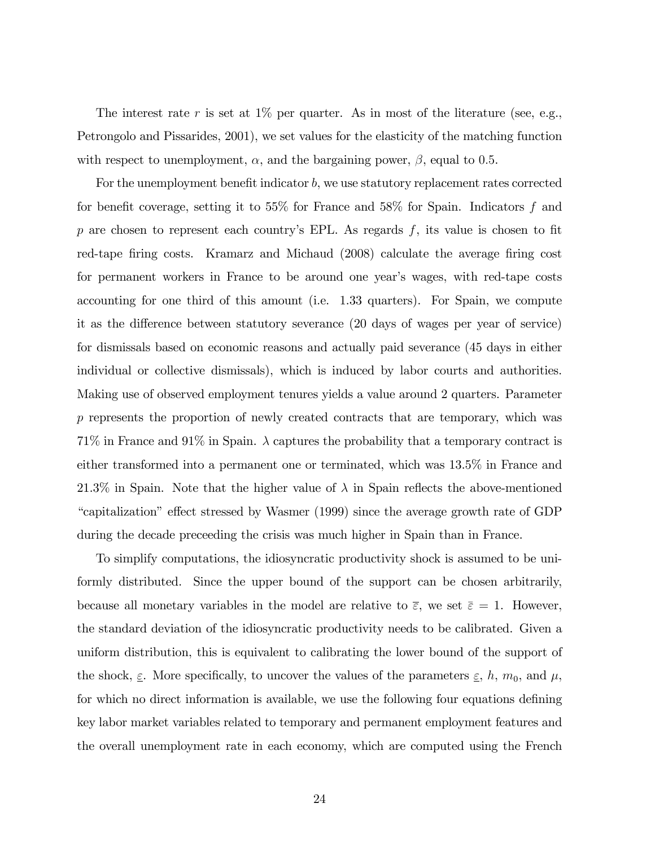The interest rate r is set at  $1\%$  per quarter. As in most of the literature (see, e.g., Petrongolo and Pissarides, 2001), we set values for the elasticity of the matching function with respect to unemployment,  $\alpha$ , and the bargaining power,  $\beta$ , equal to 0.5.

For the unemployment benefit indicator  $b$ , we use statutory replacement rates corrected for benefit coverage, setting it to 55% for France and 58% for Spain. Indicators f and p are chosen to represent each country's EPL. As regards  $f$ , its value is chosen to fit red-tape firing costs. Kramarz and Michaud (2008) calculate the average firing cost for permanent workers in France to be around one year's wages, with red-tape costs accounting for one third of this amount (i.e. 1.33 quarters). For Spain, we compute it as the difference between statutory severance (20 days of wages per year of service) for dismissals based on economic reasons and actually paid severance (45 days in either individual or collective dismissals), which is induced by labor courts and authorities. Making use of observed employment tenures yields a value around 2 quarters. Parameter p represents the proportion of newly created contracts that are temporary, which was 71% in France and 91% in Spain.  $\lambda$  captures the probability that a temporary contract is either transformed into a permanent one or terminated, which was 13.5% in France and 21.3% in Spain. Note that the higher value of  $\lambda$  in Spain reflects the above-mentioned ìcapitalizationî e§ect stressed by Wasmer (1999) since the average growth rate of GDP during the decade preceeding the crisis was much higher in Spain than in France.

To simplify computations, the idiosyncratic productivity shock is assumed to be uniformly distributed. Since the upper bound of the support can be chosen arbitrarily, because all monetary variables in the model are relative to  $\bar{\varepsilon}$ , we set  $\bar{\varepsilon} = 1$ . However, the standard deviation of the idiosyncratic productivity needs to be calibrated. Given a uniform distribution, this is equivalent to calibrating the lower bound of the support of the shock,  $\underline{\varepsilon}$ . More specifically, to uncover the values of the parameters  $\underline{\varepsilon}$ , h,  $m_0$ , and  $\mu$ , for which no direct information is available, we use the following four equations defining key labor market variables related to temporary and permanent employment features and the overall unemployment rate in each economy, which are computed using the French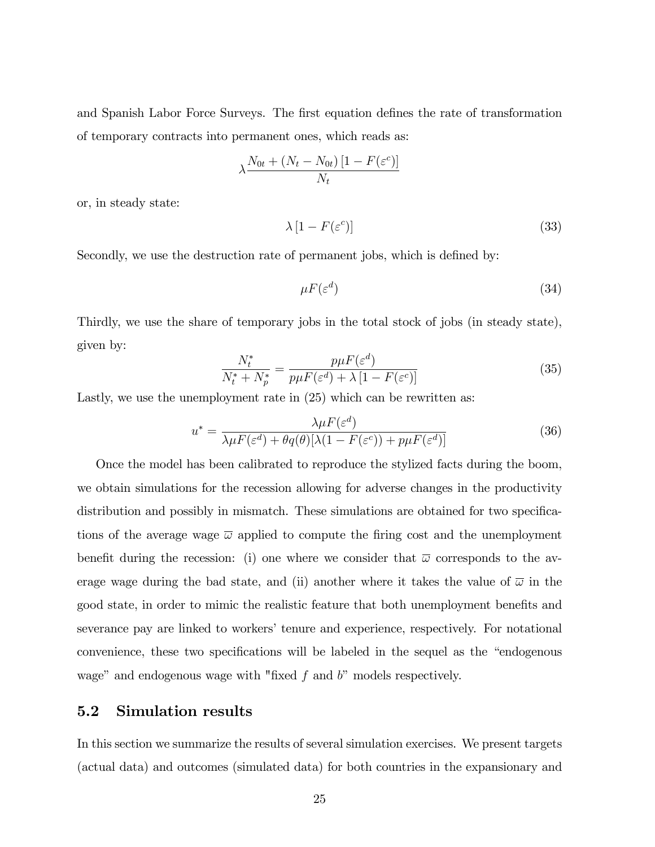and Spanish Labor Force Surveys. The first equation defines the rate of transformation of temporary contracts into permanent ones, which reads as:

$$
\lambda \frac{N_{0t} + (N_t - N_{0t}) [1 - F(\varepsilon^c)]}{N_t}
$$

or, in steady state:

$$
\lambda \left[ 1 - F(\varepsilon^c) \right] \tag{33}
$$

Secondly, we use the destruction rate of permanent jobs, which is defined by:

$$
\mu F(\varepsilon^d) \tag{34}
$$

Thirdly, we use the share of temporary jobs in the total stock of jobs (in steady state), given by:

$$
\frac{N_t^*}{N_t^* + N_p^*} = \frac{p\mu F(\varepsilon^d)}{p\mu F(\varepsilon^d) + \lambda \left[1 - F(\varepsilon^c)\right]}
$$
(35)

Lastly, we use the unemployment rate in (25) which can be rewritten as:

$$
u^* = \frac{\lambda \mu F(\varepsilon^d)}{\lambda \mu F(\varepsilon^d) + \theta q(\theta) [\lambda (1 - F(\varepsilon^c)) + p \mu F(\varepsilon^d)]}
$$
(36)

Once the model has been calibrated to reproduce the stylized facts during the boom, we obtain simulations for the recession allowing for adverse changes in the productivity distribution and possibly in mismatch. These simulations are obtained for two specifications of the average wage  $\bar{\omega}$  applied to compute the firing cost and the unemployment benefit during the recession: (i) one where we consider that  $\bar{\omega}$  corresponds to the average wage during the bad state, and (ii) another where it takes the value of  $\bar{\omega}$  in the good state, in order to mimic the realistic feature that both unemployment benefits and severance pay are linked to workers' tenure and experience, respectively. For notational convenience, these two specifications will be labeled in the sequel as the "endogenous" wage" and endogenous wage with "fixed  $f$  and  $b$ " models respectively.

#### 5.2 Simulation results

In this section we summarize the results of several simulation exercises. We present targets (actual data) and outcomes (simulated data) for both countries in the expansionary and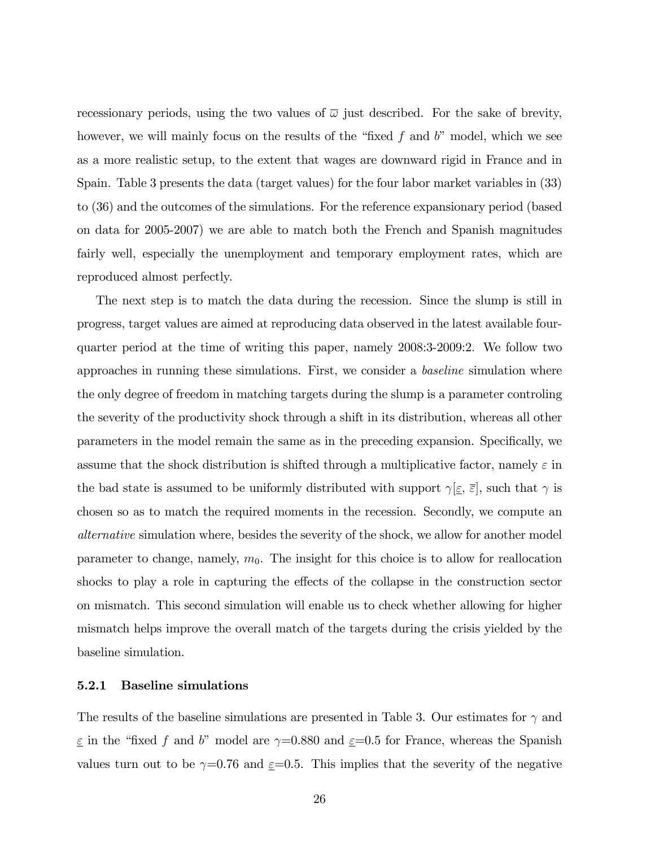recessionary periods, using the two values of  $\overline{\omega}$  just described. For the sake of brevity, however, we will mainly focus on the results of the "fixed f and  $b$ " model, which we see as a more realistic setup, to the extent that wages are downward rigid in France and in Spain. Table 3 presents the data (target values) for the four labor market variables in (33) to (36) and the outcomes of the simulations. For the reference expansionary period (based on data for 2005-2007) we are able to match both the French and Spanish magnitudes fairly well, especially the unemployment and temporary employment rates, which are reproduced almost perfectly.

The next step is to match the data during the recession. Since the slump is still in progress, target values are aimed at reproducing data observed in the latest available fourquarter period at the time of writing this paper, namely 2008:3-2009:2. We follow two approaches in running these simulations. First, we consider a baseline simulation where the only degree of freedom in matching targets during the slump is a parameter controling the severity of the productivity shock through a shift in its distribution, whereas all other parameters in the model remain the same as in the preceding expansion. Specifically, we assume that the shock distribution is shifted through a multiplicative factor, namely  $\varepsilon$  in the bad state is assumed to be uniformly distributed with support  $\gamma \leq \overline{\varepsilon}$ , such that  $\gamma$  is chosen so as to match the required moments in the recession. Secondly, we compute an alternative simulation where, besides the severity of the shock, we allow for another model parameter to change, namely,  $m_0$ . The insight for this choice is to allow for reallocation shocks to play a role in capturing the effects of the collapse in the construction sector on mismatch. This second simulation will enable us to check whether allowing for higher mismatch helps improve the overall match of the targets during the crisis yielded by the baseline simulation.

#### 5.2.1 Baseline simulations

The results of the baseline simulations are presented in Table 3. Our estimates for  $\gamma$  and  $\epsilon$  in the "fixed f and b" model are  $\gamma$ =0.880 and  $\epsilon$ =0.5 for France, whereas the Spanish values turn out to be  $\gamma=0.76$  and  $\varepsilon=0.5$ . This implies that the severity of the negative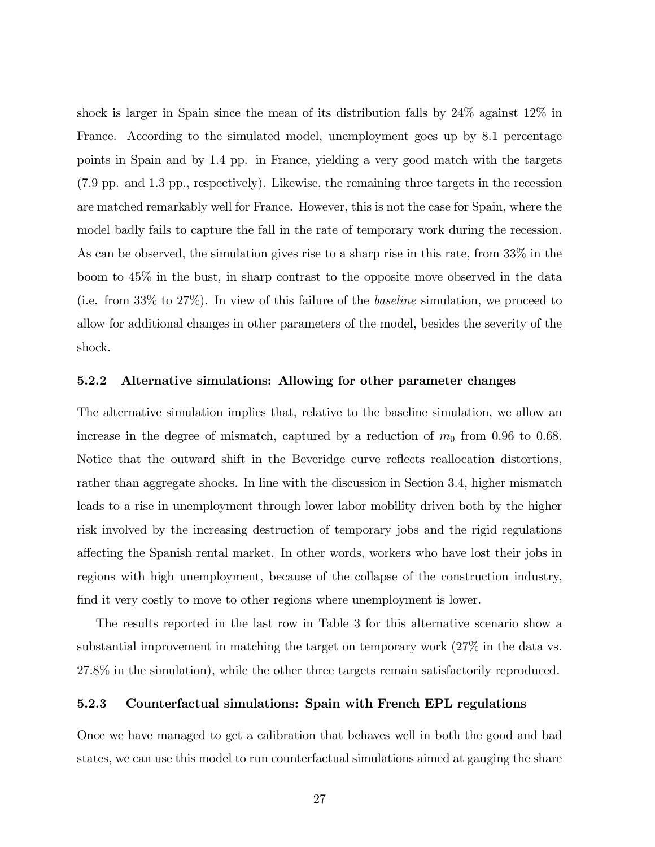shock is larger in Spain since the mean of its distribution falls by 24% against 12% in France. According to the simulated model, unemployment goes up by 8.1 percentage points in Spain and by 1.4 pp. in France, yielding a very good match with the targets (7.9 pp. and 1.3 pp., respectively). Likewise, the remaining three targets in the recession are matched remarkably well for France. However, this is not the case for Spain, where the model badly fails to capture the fall in the rate of temporary work during the recession. As can be observed, the simulation gives rise to a sharp rise in this rate, from 33% in the boom to 45% in the bust, in sharp contrast to the opposite move observed in the data (i.e. from 33% to 27%). In view of this failure of the baseline simulation, we proceed to allow for additional changes in other parameters of the model, besides the severity of the shock.

#### 5.2.2 Alternative simulations: Allowing for other parameter changes

The alternative simulation implies that, relative to the baseline simulation, we allow an increase in the degree of mismatch, captured by a reduction of  $m_0$  from 0.96 to 0.68. Notice that the outward shift in the Beveridge curve reflects reallocation distortions, rather than aggregate shocks. In line with the discussion in Section 3.4, higher mismatch leads to a rise in unemployment through lower labor mobility driven both by the higher risk involved by the increasing destruction of temporary jobs and the rigid regulations a§ecting the Spanish rental market. In other words, workers who have lost their jobs in regions with high unemployment, because of the collapse of the construction industry, find it very costly to move to other regions where unemployment is lower.

The results reported in the last row in Table 3 for this alternative scenario show a substantial improvement in matching the target on temporary work (27% in the data vs. 27.8% in the simulation), while the other three targets remain satisfactorily reproduced.

#### 5.2.3 Counterfactual simulations: Spain with French EPL regulations

Once we have managed to get a calibration that behaves well in both the good and bad states, we can use this model to run counterfactual simulations aimed at gauging the share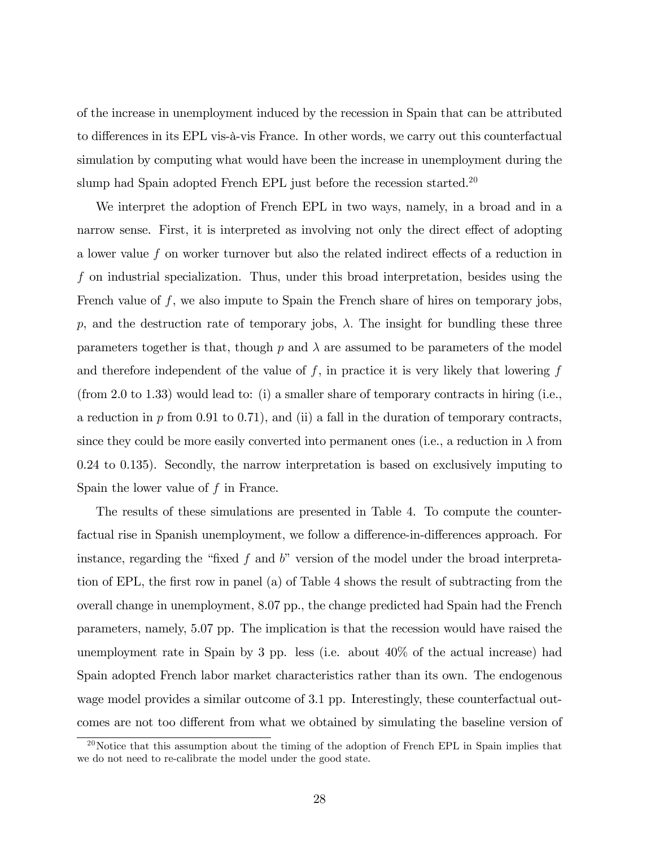of the increase in unemployment induced by the recession in Spain that can be attributed to differences in its EPL vis-à-vis France. In other words, we carry out this counterfactual simulation by computing what would have been the increase in unemployment during the slump had Spain adopted French EPL just before the recession started.<sup>20</sup>

We interpret the adoption of French EPL in two ways, namely, in a broad and in a narrow sense. First, it is interpreted as involving not only the direct effect of adopting a lower value  $f$  on worker turnover but also the related indirect effects of a reduction in f on industrial specialization. Thus, under this broad interpretation, besides using the French value of  $f$ , we also impute to Spain the French share of hires on temporary jobs, p, and the destruction rate of temporary jobs,  $\lambda$ . The insight for bundling these three parameters together is that, though  $p$  and  $\lambda$  are assumed to be parameters of the model and therefore independent of the value of  $f$ , in practice it is very likely that lowering  $f$ (from 2.0 to 1.33) would lead to: (i) a smaller share of temporary contracts in hiring (i.e., a reduction in  $p$  from 0.91 to 0.71), and (ii) a fall in the duration of temporary contracts, since they could be more easily converted into permanent ones (i.e., a reduction in  $\lambda$  from 0.24 to 0.135). Secondly, the narrow interpretation is based on exclusively imputing to Spain the lower value of  $f$  in France.

The results of these simulations are presented in Table 4. To compute the counterfactual rise in Spanish unemployment, we follow a difference-in-differences approach. For instance, regarding the "fixed f and  $b$ " version of the model under the broad interpretation of EPL, the first row in panel (a) of Table 4 shows the result of subtracting from the overall change in unemployment, 8.07 pp., the change predicted had Spain had the French parameters, namely, 5.07 pp. The implication is that the recession would have raised the unemployment rate in Spain by 3 pp. less (i.e. about 40% of the actual increase) had Spain adopted French labor market characteristics rather than its own. The endogenous wage model provides a similar outcome of 3.1 pp. Interestingly, these counterfactual outcomes are not too different from what we obtained by simulating the baseline version of

 $^{20}$ Notice that this assumption about the timing of the adoption of French EPL in Spain implies that we do not need to re-calibrate the model under the good state.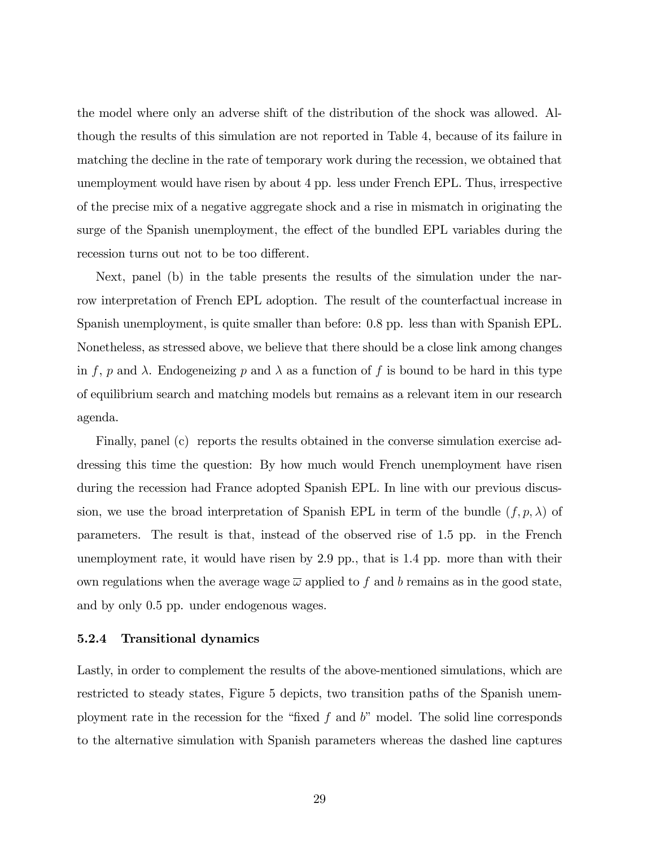the model where only an adverse shift of the distribution of the shock was allowed. Although the results of this simulation are not reported in Table 4, because of its failure in matching the decline in the rate of temporary work during the recession, we obtained that unemployment would have risen by about 4 pp. less under French EPL. Thus, irrespective of the precise mix of a negative aggregate shock and a rise in mismatch in originating the surge of the Spanish unemployment, the effect of the bundled EPL variables during the recession turns out not to be too different.

Next, panel (b) in the table presents the results of the simulation under the narrow interpretation of French EPL adoption. The result of the counterfactual increase in Spanish unemployment, is quite smaller than before: 0.8 pp. less than with Spanish EPL. Nonetheless, as stressed above, we believe that there should be a close link among changes in f, p and  $\lambda$ . Endogeneizing p and  $\lambda$  as a function of f is bound to be hard in this type of equilibrium search and matching models but remains as a relevant item in our research agenda.

Finally, panel (c) reports the results obtained in the converse simulation exercise addressing this time the question: By how much would French unemployment have risen during the recession had France adopted Spanish EPL. In line with our previous discussion, we use the broad interpretation of Spanish EPL in term of the bundle  $(f, p, \lambda)$  of parameters. The result is that, instead of the observed rise of 1.5 pp. in the French unemployment rate, it would have risen by 2.9 pp., that is 1.4 pp. more than with their own regulations when the average wage  $\overline{\omega}$  applied to f and b remains as in the good state, and by only 0.5 pp. under endogenous wages.

#### 5.2.4 Transitional dynamics

Lastly, in order to complement the results of the above-mentioned simulations, which are restricted to steady states, Figure 5 depicts, two transition paths of the Spanish unemployment rate in the recession for the "fixed f and  $b$ " model. The solid line corresponds to the alternative simulation with Spanish parameters whereas the dashed line captures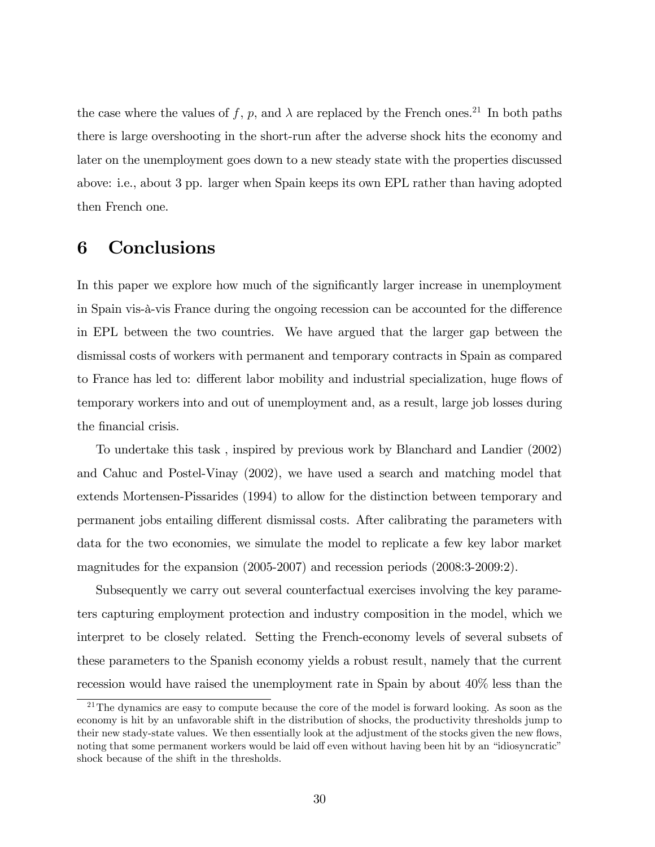the case where the values of f, p, and  $\lambda$  are replaced by the French ones.<sup>21</sup> In both paths there is large overshooting in the short-run after the adverse shock hits the economy and later on the unemployment goes down to a new steady state with the properties discussed above: i.e., about 3 pp. larger when Spain keeps its own EPL rather than having adopted then French one.

# 6 Conclusions

In this paper we explore how much of the significantly larger increase in unemployment in Spain vis- $\hat{a}$ -vis France during the ongoing recession can be accounted for the difference in EPL between the two countries. We have argued that the larger gap between the dismissal costs of workers with permanent and temporary contracts in Spain as compared to France has led to: different labor mobility and industrial specialization, huge flows of temporary workers into and out of unemployment and, as a result, large job losses during the financial crisis.

To undertake this task , inspired by previous work by Blanchard and Landier (2002) and Cahuc and Postel-Vinay (2002), we have used a search and matching model that extends Mortensen-Pissarides (1994) to allow for the distinction between temporary and permanent jobs entailing different dismissal costs. After calibrating the parameters with data for the two economies, we simulate the model to replicate a few key labor market magnitudes for the expansion (2005-2007) and recession periods (2008:3-2009:2).

Subsequently we carry out several counterfactual exercises involving the key parameters capturing employment protection and industry composition in the model, which we interpret to be closely related. Setting the French-economy levels of several subsets of these parameters to the Spanish economy yields a robust result, namely that the current recession would have raised the unemployment rate in Spain by about 40% less than the

 $21$ The dynamics are easy to compute because the core of the model is forward looking. As soon as the economy is hit by an unfavorable shift in the distribution of shocks, the productivity thresholds jump to their new stady-state values. We then essentially look at the adjustment of the stocks given the new flows, noting that some permanent workers would be laid off even without having been hit by an "idiosyncratic" shock because of the shift in the thresholds.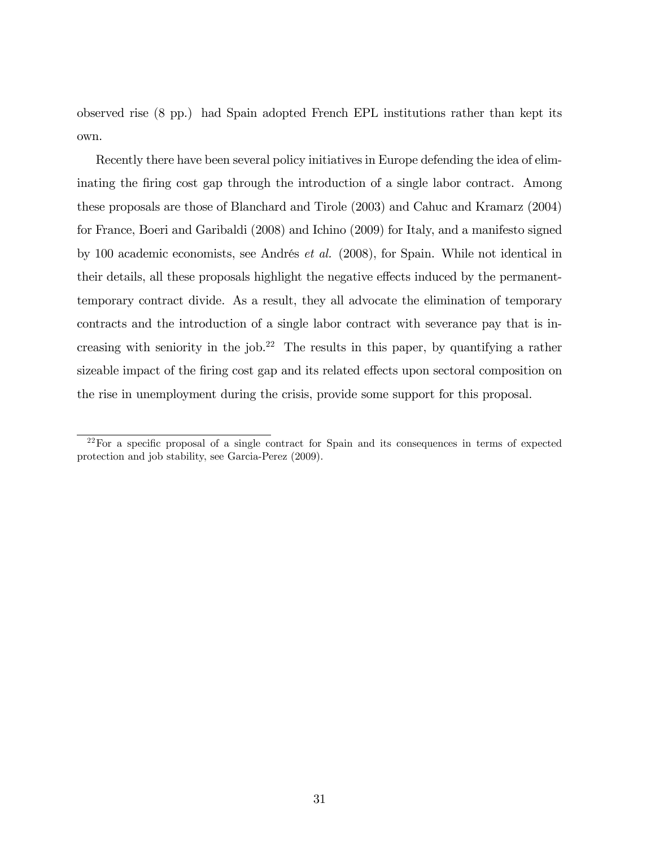observed rise (8 pp.) had Spain adopted French EPL institutions rather than kept its own.

Recently there have been several policy initiatives in Europe defending the idea of eliminating the firing cost gap through the introduction of a single labor contract. Among these proposals are those of Blanchard and Tirole (2003) and Cahuc and Kramarz (2004) for France, Boeri and Garibaldi (2008) and Ichino (2009) for Italy, and a manifesto signed by 100 academic economists, see Andrés *et al.* (2008), for Spain. While not identical in their details, all these proposals highlight the negative effects induced by the permanenttemporary contract divide. As a result, they all advocate the elimination of temporary contracts and the introduction of a single labor contract with severance pay that is increasing with seniority in the job.<sup>22</sup> The results in this paper, by quantifying a rather sizeable impact of the firing cost gap and its related effects upon sectoral composition on the rise in unemployment during the crisis, provide some support for this proposal.

 $22$ For a specific proposal of a single contract for Spain and its consequences in terms of expected protection and job stability, see Garcia-Perez (2009).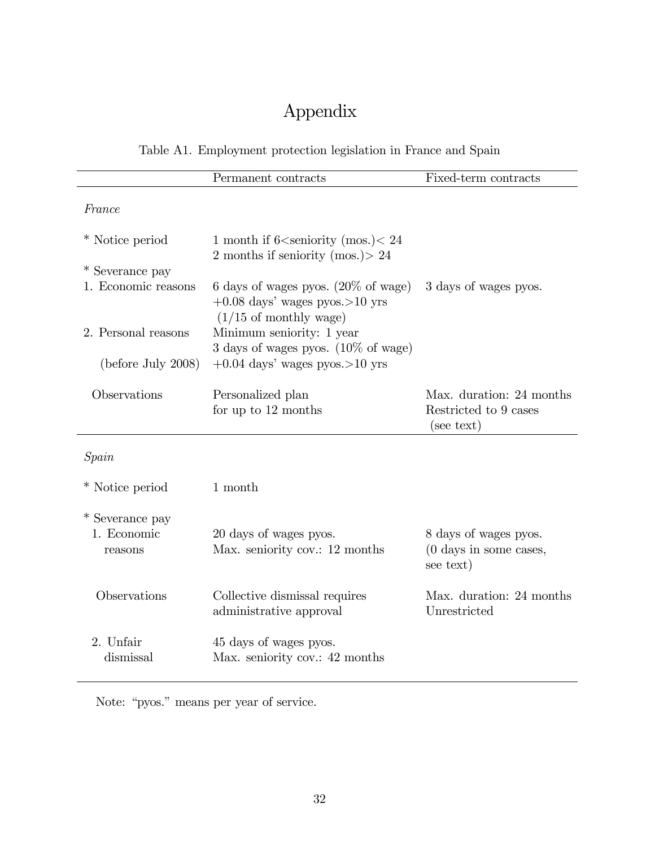# Appendix

Table A1. Employment protection legislation in France and Spain

|                     | Permanent contracts                                                   | Fixed-term contracts                          |
|---------------------|-----------------------------------------------------------------------|-----------------------------------------------|
| France              |                                                                       |                                               |
|                     |                                                                       |                                               |
| * Notice period     | 1 month if 6 <seniority (mos.)<="" 24<="" td=""><td></td></seniority> |                                               |
|                     | 2 months if seniority (mos.) > 24                                     |                                               |
| * Severance pay     |                                                                       |                                               |
| 1. Economic reasons | 6 days of wages pyos. $(20\% \text{ of wage})$                        | 3 days of wages pyos.                         |
|                     | $+0.08$ days' wages pyos. > 10 yrs                                    |                                               |
|                     | $(1/15 \text{ of monthly wage})$                                      |                                               |
| 2. Personal reasons | Minimum seniority: 1 year                                             |                                               |
|                     | $3$ days of wages pyos. $(10\% \text{ of wage})$                      |                                               |
| (before July 2008)  | $+0.04$ days' wages pyos. > 10 yrs                                    |                                               |
| Observations        | Personalized plan                                                     | Max. duration: 24 months                      |
|                     | for up to $12$ months                                                 | Restricted to 9 cases<br>(see text)           |
|                     |                                                                       |                                               |
| Spain               |                                                                       |                                               |
| * Notice period     | 1 month                                                               |                                               |
| * Severance pay     |                                                                       |                                               |
| 1. Economic         | 20 days of wages pyos.                                                | 8 days of wages pyos.                         |
| reasons             | Max. seniority cov.: 12 months                                        | $(0 \text{ days in some cases},$<br>see text) |
| Observations        | Collective dismissal requires                                         | Max. duration: 24 months                      |

administrative approval Unrestricted 2. Unfair 45 days of wages pyos. dismissal Max. seniority cov.: 42 months

Note: "pyos." means per year of service.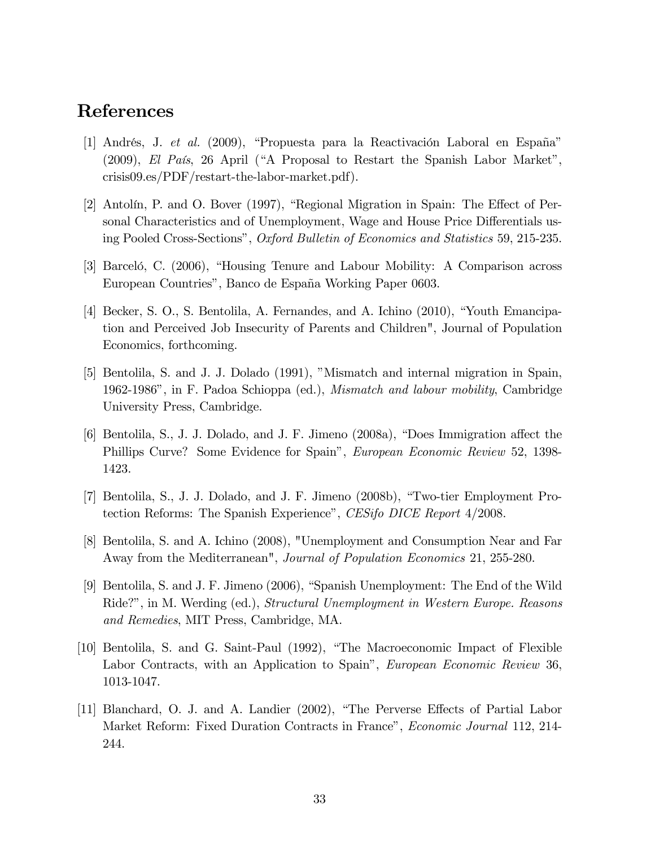# References

- [1] Andrés, J. et al. (2009), "Propuesta para la Reactivación Laboral en España"  $(2009)$ , El País, 26 April ("A Proposal to Restart the Spanish Labor Market", crisis09.es/PDF/restart-the-labor-market.pdf).
- [2] Antolín, P. and O. Bover (1997), "Regional Migration in Spain: The Effect of Personal Characteristics and of Unemployment, Wage and House Price Differentials using Pooled Cross-Sectionsî, Oxford Bulletin of Economics and Statistics 59, 215-235.
- [3] Barceló, C. (2006), "Housing Tenure and Labour Mobility: A Comparison across European Countries", Banco de España Working Paper 0603.
- [4] Becker, S. O., S. Bentolila, A. Fernandes, and A. Ichino (2010), "Youth Emancipation and Perceived Job Insecurity of Parents and Children", Journal of Population Economics, forthcoming.
- [5] Bentolila, S. and J. J. Dolado (1991), "Mismatch and internal migration in Spain, 1962-1986î, in F. Padoa Schioppa (ed.), Mismatch and labour mobility, Cambridge University Press, Cambridge.
- [6] Bentolila, S., J. J. Dolado, and J. F. Jimeno (2008a), "Does Immigration affect the Phillips Curve? Some Evidence for Spain", *European Economic Review* 52, 1398-1423.
- [7] Bentolila, S., J. J. Dolado, and J. F. Jimeno (2008b), "Two-tier Employment Protection Reforms: The Spanish Experience", CESifo DICE Report 4/2008.
- [8] Bentolila, S. and A. Ichino (2008), "Unemployment and Consumption Near and Far Away from the Mediterranean", Journal of Population Economics 21, 255-280.
- [9] Bentolila, S. and J. F. Jimeno (2006), "Spanish Unemployment: The End of the Wild Ride?", in M. Werding (ed.), *Structural Unemployment in Western Europe. Reasons* and Remedies, MIT Press, Cambridge, MA.
- [10] Bentolila, S. and G. Saint-Paul (1992), "The Macroeconomic Impact of Flexible Labor Contracts, with an Application to Spain", European Economic Review 36, 1013-1047.
- [11] Blanchard, O. J. and A. Landier (2002), "The Perverse Effects of Partial Labor Market Reform: Fixed Duration Contracts in France", *Economic Journal* 112, 214-244.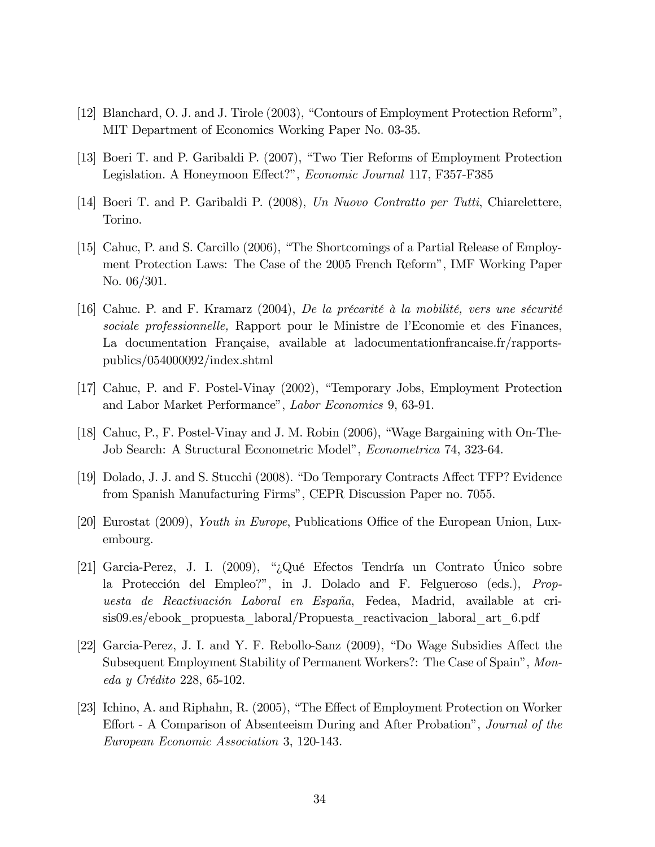- [12] Blanchard, O. J. and J. Tirole (2003), "Contours of Employment Protection Reform", MIT Department of Economics Working Paper No. 03-35.
- [13] Boeri T. and P. Garibaldi P. (2007), "Two Tier Reforms of Employment Protection Legislation. A Honeymoon Effect?", Economic Journal 117, F357-F385
- [14] Boeri T. and P. Garibaldi P. (2008), Un Nuovo Contratto per Tutti, Chiarelettere, Torino.
- [15] Cahuc, P. and S. Carcillo (2006), "The Shortcomings of a Partial Release of Employment Protection Laws: The Case of the 2005 French Reformî, IMF Working Paper No. 06/301.
- [16] Cahuc. P. and F. Kramarz (2004), De la précarité à la mobilité, vers une sécurité sociale professionnelle, Rapport pour le Ministre de l'Economie et des Finances, La documentation Française, available at ladocumentationfrancaise.fr/rapportspublics/054000092/index.shtml
- [17] Cahuc, P. and F. Postel-Vinay (2002), "Temporary Jobs, Employment Protection and Labor Market Performance", Labor Economics 9, 63-91.
- [18] Cahuc, P., F. Postel-Vinay and J. M. Robin  $(2006)$ , "Wage Bargaining with On-The-Job Search: A Structural Econometric Model", *Econometrica* 74, 323-64.
- [19] Dolado, J. J. and S. Stucchi (2008). "Do Temporary Contracts Affect TFP? Evidence from Spanish Manufacturing Firms", CEPR Discussion Paper no. 7055.
- [20] Eurostat  $(2009)$ , *Youth in Europe*, Publications Office of the European Union, Luxembourg.
- [21] Garcia-Perez, J. I. (2009), "¿Qué Efectos Tendría un Contrato Único sobre la Protección del Empleo?", in J. Dolado and F. Felgueroso (eds.), *Prop*uesta de Reactivación Laboral en España, Fedea, Madrid, available at crisis09.es/ebook\_propuesta\_laboral/Propuesta\_reactivacion\_laboral\_art\_6.pdf
- [22] Garcia-Perez, J. I. and Y. F. Rebollo-Sanz (2009), "Do Wage Subsidies Affect the Subsequent Employment Stability of Permanent Workers?: The Case of Spain", Mon $eda y$  Crédito 228, 65-102.
- [23] Ichino, A. and Riphahn, R.  $(2005)$ , "The Effect of Employment Protection on Worker Effort - A Comparison of Absenteeism During and After Probation", *Journal of the* European Economic Association 3, 120-143.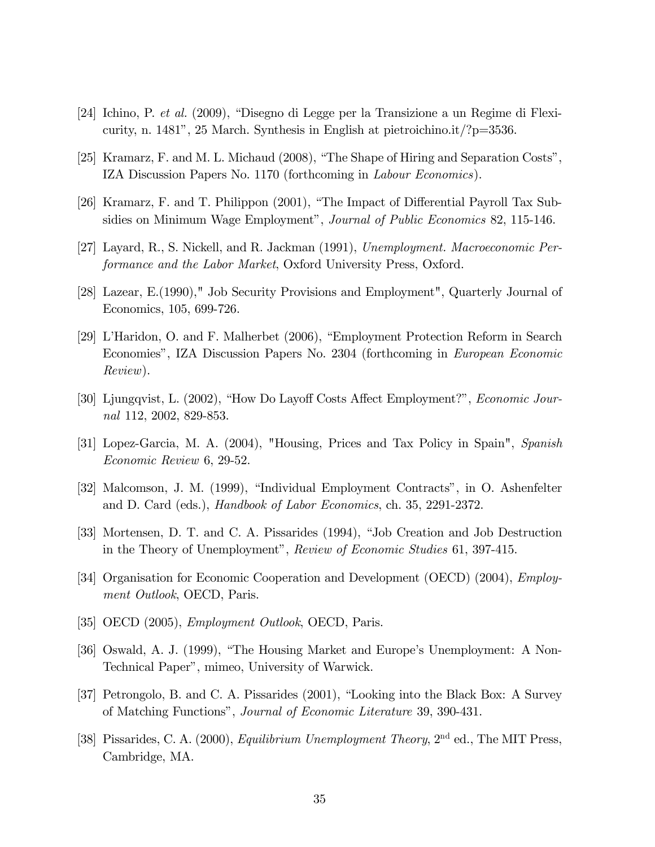- [24] Ichino, P. *et al.* (2009), "Disegno di Legge per la Transizione a un Regime di Flexicurity, n. 1481", 25 March. Synthesis in English at pietroichino.it/? $p=3536$ .
- [25] Kramarz, F. and M. L. Michaud (2008), "The Shape of Hiring and Separation Costs", IZA Discussion Papers No. 1170 (forthcoming in Labour Economics).
- [26] Kramarz, F. and T. Philippon (2001), "The Impact of Differential Payroll Tax Subsidies on Minimum Wage Employment", Journal of Public Economics 82, 115-146.
- [27] Layard, R., S. Nickell, and R. Jackman (1991), Unemployment. Macroeconomic Performance and the Labor Market, Oxford University Press, Oxford.
- [28] Lazear, E.(1990)," Job Security Provisions and Employment", Quarterly Journal of Economics, 105, 699-726.
- [29] L'Haridon, O. and F. Malherbet (2006), "Employment Protection Reform in Search Economiesî, IZA Discussion Papers No. 2304 (forthcoming in European Economic Review).
- [30] Ljungqvist, L. (2002), "How Do Layoff Costs Affect Employment?", Economic Journal 112, 2002, 829-853.
- [31] Lopez-Garcia, M. A. (2004), "Housing, Prices and Tax Policy in Spain", Spanish Economic Review 6, 29-52.
- [32] Malcomson, J. M. (1999), "Individual Employment Contracts", in O. Ashenfelter and D. Card (eds.), Handbook of Labor Economics, ch. 35, 2291-2372.
- [33] Mortensen, D. T. and C. A. Pissarides (1994), "Job Creation and Job Destruction in the Theory of Unemployment", Review of Economic Studies 61, 397-415.
- [34] Organisation for Economic Cooperation and Development (OECD) (2004), Employment Outlook, OECD, Paris.
- [35] OECD (2005), *Employment Outlook*, OECD, Paris.
- [36] Oswald, A. J. (1999), "The Housing Market and Europe's Unemployment: A Non-Technical Paperî, mimeo, University of Warwick.
- [37] Petrongolo, B. and C. A. Pissarides (2001), "Looking into the Black Box: A Survey of Matching Functionsî, Journal of Economic Literature 39, 390-431.
- [38] Pissarides, C. A. (2000), *Equilibrium Unemployment Theory*, 2<sup>nd</sup> ed., The MIT Press, Cambridge, MA.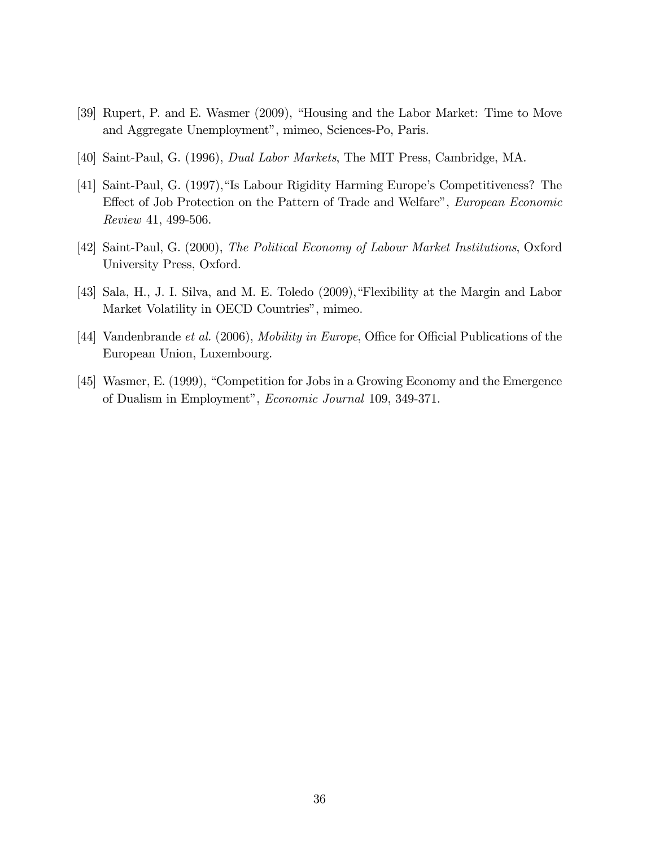- [39] Rupert, P. and E. Wasmer (2009), "Housing and the Labor Market: Time to Move and Aggregate Unemployment", mimeo, Sciences-Po, Paris.
- [40] Saint-Paul, G. (1996), Dual Labor Markets, The MIT Press, Cambridge, MA.
- [41] Saint-Paul, G. (1997), "Is Labour Rigidity Harming Europe's Competitiveness? The Effect of Job Protection on the Pattern of Trade and Welfare", European Economic Review 41, 499-506.
- [42] Saint-Paul, G. (2000), The Political Economy of Labour Market Institutions, Oxford University Press, Oxford.
- [43] Sala, H., J. I. Silva, and M. E. Toledo  $(2009)$ , "Flexibility at the Margin and Labor Market Volatility in OECD Countries", mimeo.
- [44] Vandenbrande et al. (2006), Mobility in Europe, Office for Official Publications of the European Union, Luxembourg.
- [45] Wasmer, E. (1999), "Competition for Jobs in a Growing Economy and the Emergence of Dualism in Employment", *Economic Journal* 109, 349-371.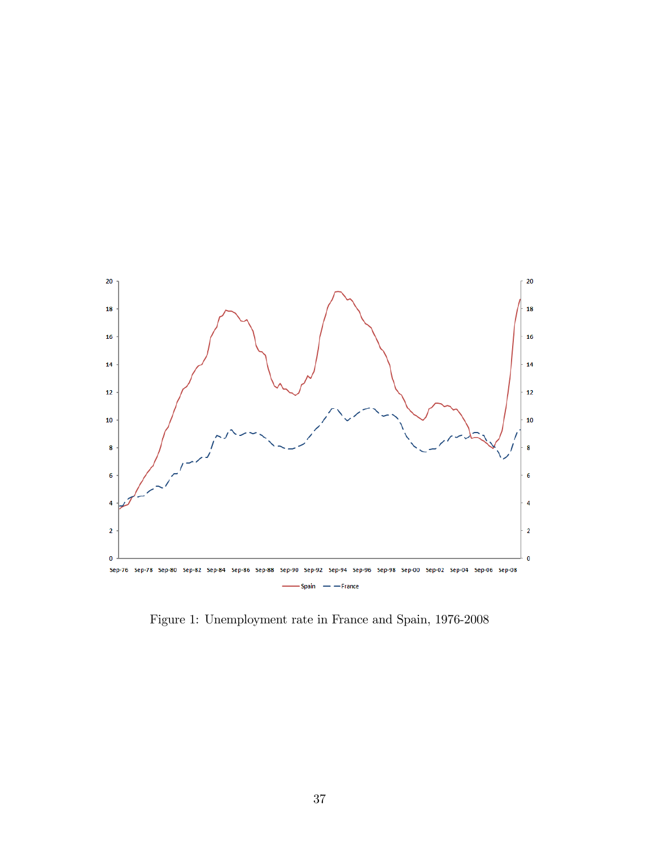

Figure 1: Unemployment rate in France and Spain, 1976-2008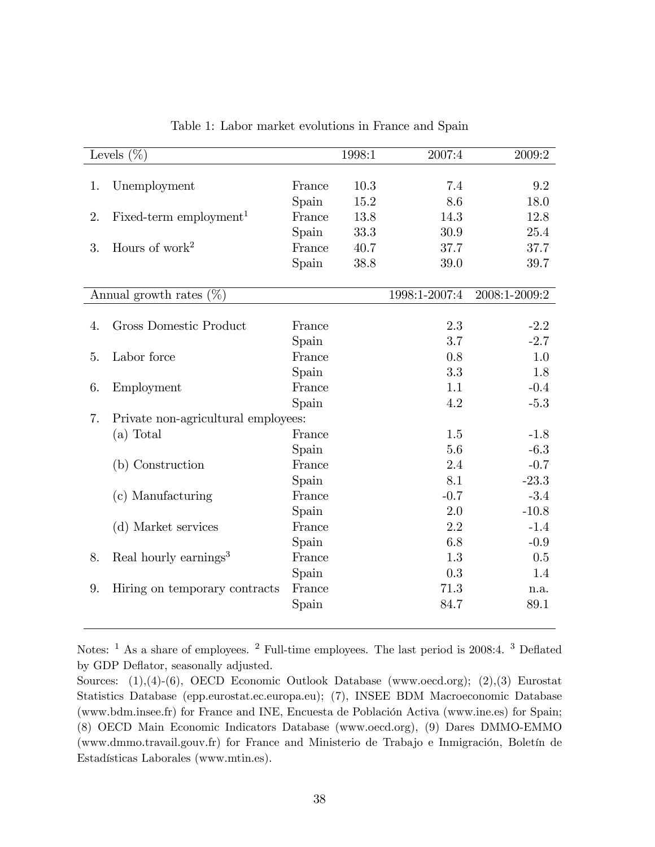| Levels $(\%)$ |                                     |        | 1998:1 | 2007:4        | 2009:2        |
|---------------|-------------------------------------|--------|--------|---------------|---------------|
|               |                                     |        |        |               |               |
| 1.            | Unemployment                        | France | 10.3   | 7.4           | 9.2           |
|               |                                     | Spain  | 15.2   | 8.6           | 18.0          |
| 2.            | Fixed-term employment <sup>1</sup>  | France | 13.8   | 14.3          | 12.8          |
|               |                                     | Spain  | 33.3   | 30.9          | 25.4          |
| 3.            | Hours of work <sup>2</sup>          | France | 40.7   | 37.7          | 37.7          |
|               |                                     | Spain  | 38.8   | 39.0          | 39.7          |
|               | Annual growth rates $(\%)$          |        |        | 1998:1-2007:4 | 2008:1-2009:2 |
|               |                                     |        |        |               |               |
| 4.            | Gross Domestic Product              | France |        | 2.3           | $-2.2$        |
|               |                                     | Spain  |        | 3.7           | $-2.7$        |
| 5.            | Labor force                         | France |        | 0.8           | 1.0           |
|               |                                     | Spain  |        | 3.3           | 1.8           |
| 6.            | Employment                          | France |        | 1.1           | $-0.4$        |
|               |                                     | Spain  |        | 4.2           | $-5.3$        |
| 7.            | Private non-agricultural employees: |        |        |               |               |
|               | $(a)$ Total                         | France |        | 1.5           | $-1.8$        |
|               |                                     | Spain  |        | 5.6           | $-6.3$        |
|               | (b) Construction                    | France |        | 2.4           | $-0.7$        |
|               |                                     | Spain  |        | 8.1           | $-23.3$       |
|               | (c) Manufacturing                   | France |        | $-0.7$        | $-3.4$        |
|               |                                     | Spain  |        | 2.0           | $-10.8$       |
|               | (d) Market services                 | France |        | 2.2           | $-1.4$        |
|               |                                     | Spain  |        | 6.8           | $-0.9$        |
| 8.            | Real hourly earnings <sup>3</sup>   | France |        | 1.3           | 0.5           |
|               |                                     | Spain  |        | 0.3           | 1.4           |
| 9.            | Hiring on temporary contracts       | France |        | 71.3          | n.a.          |
|               |                                     | Spain  |        | 84.7          | 89.1          |

Table 1: Labor market evolutions in France and Spain

Notes: <sup>1</sup> As a share of employees. <sup>2</sup> Full-time employees. The last period is 2008:4. <sup>3</sup> Deflated by GDP Deflator, seasonally adjusted.

Sources: (1),(4)-(6), OECD Economic Outlook Database (www.oecd.org); (2),(3) Eurostat Statistics Database (epp.eurostat.ec.europa.eu); (7), INSEE BDM Macroeconomic Database (www.bdm.insee.fr) for France and INE, Encuesta de Población Activa (www.ine.es) for Spain; (8) OECD Main Economic Indicators Database (www.oecd.org), (9) Dares DMMO-EMMO (www.dmmo.travail.gouv.fr) for France and Ministerio de Trabajo e Inmigración, Boletín de Estadísticas Laborales (www.mtin.es).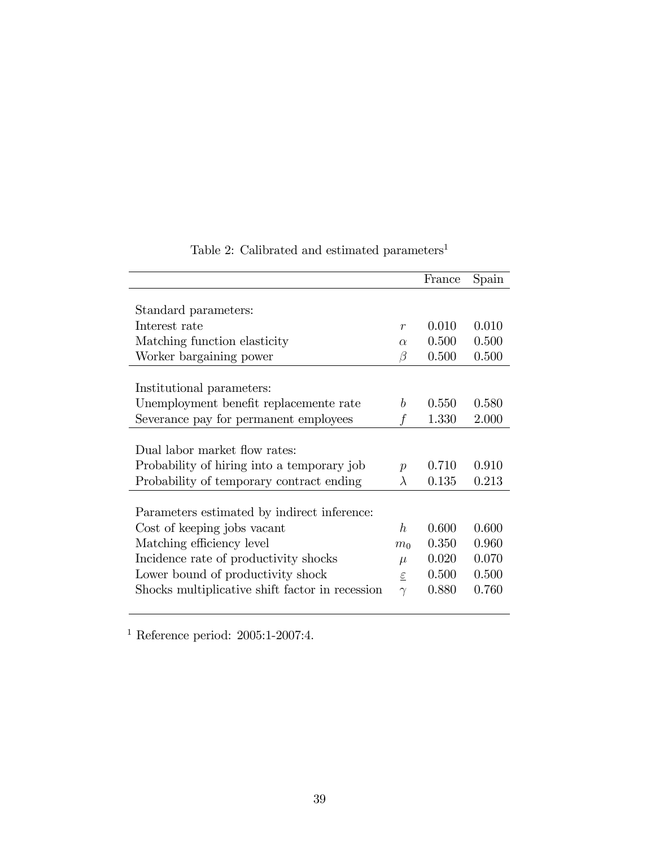|                                                 |                  | France | Spain |
|-------------------------------------------------|------------------|--------|-------|
|                                                 |                  |        |       |
| Standard parameters:                            |                  |        |       |
| Interest rate                                   | $\mathcal{r}$    | 0.010  | 0.010 |
| Matching function elasticity                    | $\alpha$         | 0.500  | 0.500 |
| Worker bargaining power                         | $\beta$          | 0.500  | 0.500 |
|                                                 |                  |        |       |
| Institutional parameters:                       |                  |        |       |
| Unemployment benefit replacemente rate          | b                | 0.550  | 0.580 |
| Severance pay for permanent employees           | f                | 1.330  | 2.000 |
|                                                 |                  |        |       |
| Dual labor market flow rates:                   |                  |        |       |
| Probability of hiring into a temporary job      | $\boldsymbol{p}$ | 0.710  | 0.910 |
| Probability of temporary contract ending        | $\lambda$        | 0.135  | 0.213 |
|                                                 |                  |        |       |
| Parameters estimated by indirect inference:     |                  |        |       |
| Cost of keeping jobs vacant                     | h                | 0.600  | 0.600 |
| Matching efficiency level                       | m <sub>0</sub>   | 0.350  | 0.960 |
| Incidence rate of productivity shocks           | $\mu$            | 0.020  | 0.070 |
| Lower bound of productivity shock               | $\varepsilon$    | 0.500  | 0.500 |
| Shocks multiplicative shift factor in recession | $\gamma$         | 0.880  | 0.760 |
|                                                 |                  |        |       |

Table 2: Calibrated and estimated parameters  $\real^1$ 

<sup>1</sup> Reference period:  $2005:1-2007:4$ .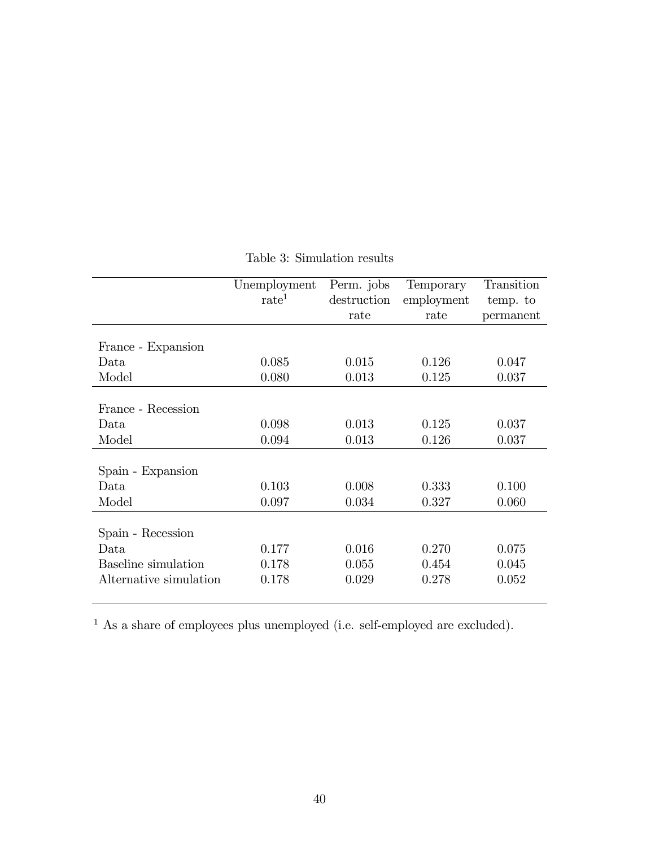|                        | Unemployment      | Perm. jobs  | Temporary  | Transition |
|------------------------|-------------------|-------------|------------|------------|
|                        | $\mathrm{rate}^1$ | destruction | employment | temp. to   |
|                        |                   | rate        | rate       | permanent  |
|                        |                   |             |            |            |
| France - Expansion     |                   |             |            |            |
| Data                   | 0.085             | 0.015       | 0.126      | 0.047      |
| Model                  | 0.080             | 0.013       | 0.125      | 0.037      |
|                        |                   |             |            |            |
| France - Recession     |                   |             |            |            |
| Data                   | 0.098             | 0.013       | 0.125      | 0.037      |
| Model                  | 0.094             | 0.013       | 0.126      | 0.037      |
|                        |                   |             |            |            |
| Spain - Expansion      |                   |             |            |            |
| Data                   | 0.103             | 0.008       | 0.333      | 0.100      |
| Model                  | 0.097             | 0.034       | 0.327      | 0.060      |
|                        |                   |             |            |            |
| Spain - Recession      |                   |             |            |            |
| Data                   | 0.177             | 0.016       | 0.270      | 0.075      |
| Baseline simulation    | 0.178             | 0.055       | 0.454      | 0.045      |
| Alternative simulation | 0.178             | 0.029       | 0.278      | 0.052      |
|                        |                   |             |            |            |

## Table 3: Simulation results

 $^{\rm 1}$  As a share of employees plus unemployed (i.e. self-employed are excluded).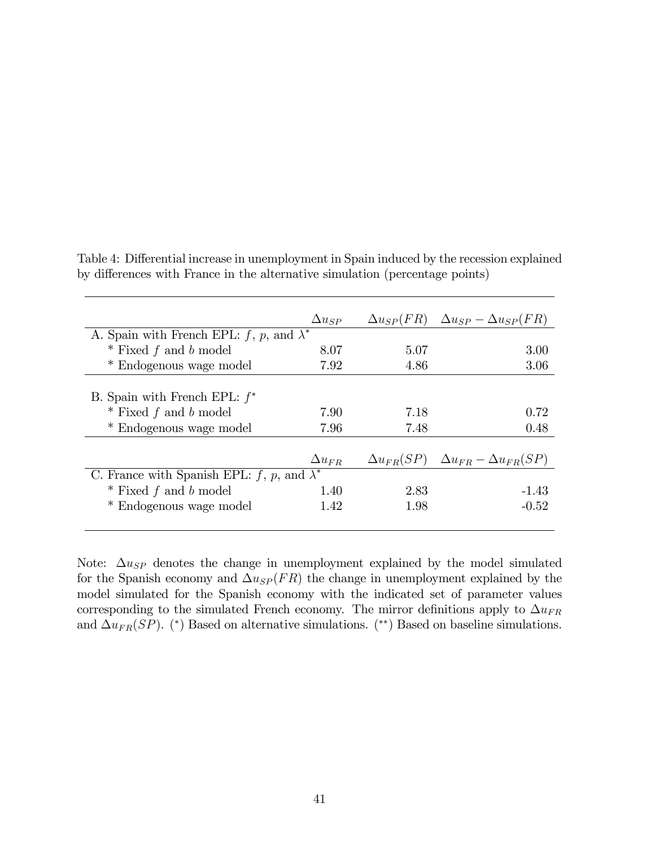|                                                   | $\Delta u_{SP}$ | $\Delta u_{SP}(FR)$ | $\Delta u_{SP} - \Delta u_{SP}(FR)$                     |
|---------------------------------------------------|-----------------|---------------------|---------------------------------------------------------|
| A. Spain with French EPL: f, p, and $\lambda^*$   |                 |                     |                                                         |
| $*$ Fixed f and b model                           | 8.07            | 5.07                | 3.00                                                    |
| * Endogenous wage model                           | 7.92            | 4.86                | 3.06                                                    |
|                                                   |                 |                     |                                                         |
| B. Spain with French EPL: $f^*$                   |                 |                     |                                                         |
| $*$ Fixed f and b model                           | 7.90            | 7.18                | 0.72                                                    |
| * Endogenous wage model                           | 7.96            | 7.48                | 0.48                                                    |
|                                                   |                 |                     |                                                         |
|                                                   | $\Delta u_{FR}$ |                     | $\Delta u_{FR}(SP)$ $\Delta u_{FR} - \Delta u_{FR}(SP)$ |
| C. France with Spanish EPL: f, p, and $\lambda^*$ |                 |                     |                                                         |
| $*$ Fixed f and b model                           | 1.40            | 2.83                | $-1.43$                                                 |
| * Endogenous wage model                           | 1.42            | 1.98                | $-0.52$                                                 |
|                                                   |                 |                     |                                                         |

Table 4: Differential increase in unemployment in Spain induced by the recession explained by differences with France in the alternative simulation (percentage points)

Note:  $\Delta u_{SP}$  denotes the change in unemployment explained by the model simulated for the Spanish economy and  $\Delta u_{SP}(FR)$  the change in unemployment explained by the model simulated for the Spanish economy with the indicated set of parameter values corresponding to the simulated French economy. The mirror definitions apply to  $\Delta u_{FR}$ and  $\Delta u_{FR}(SP)$ . (\*) Based on alternative simulations. (\*\*) Based on baseline simulations.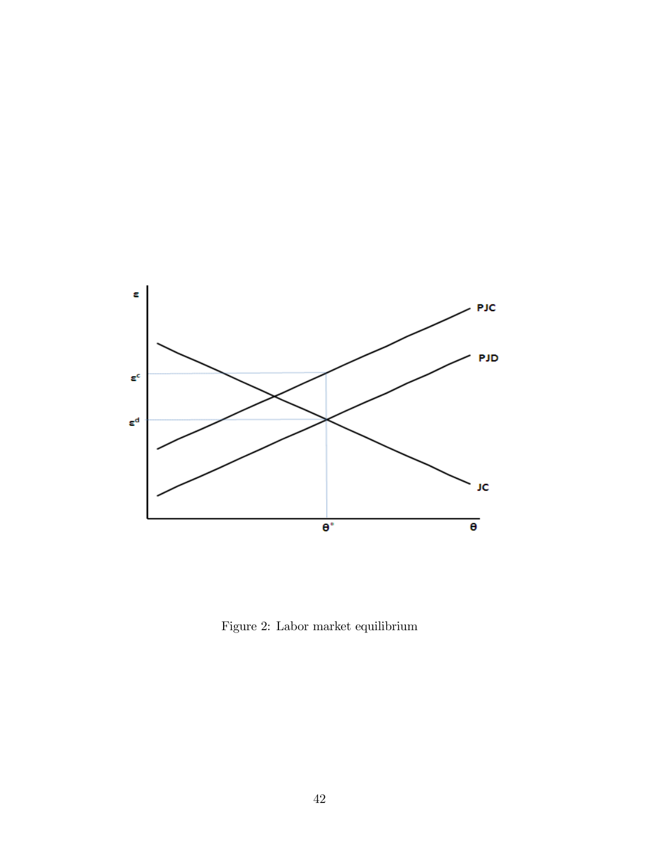

Figure 2: Labor market equilibrium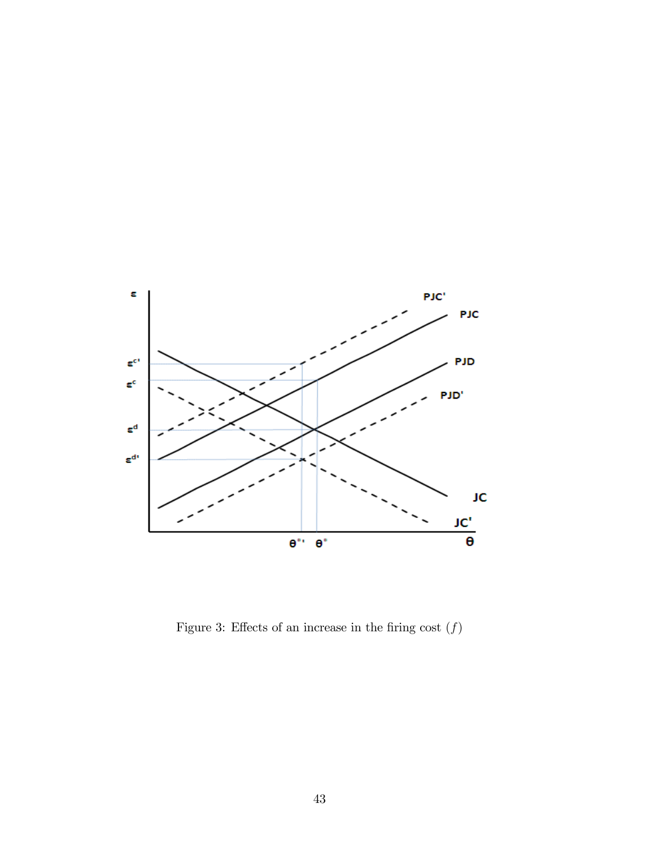

Figure 3: Effects of an increase in the firing cost  $(f)$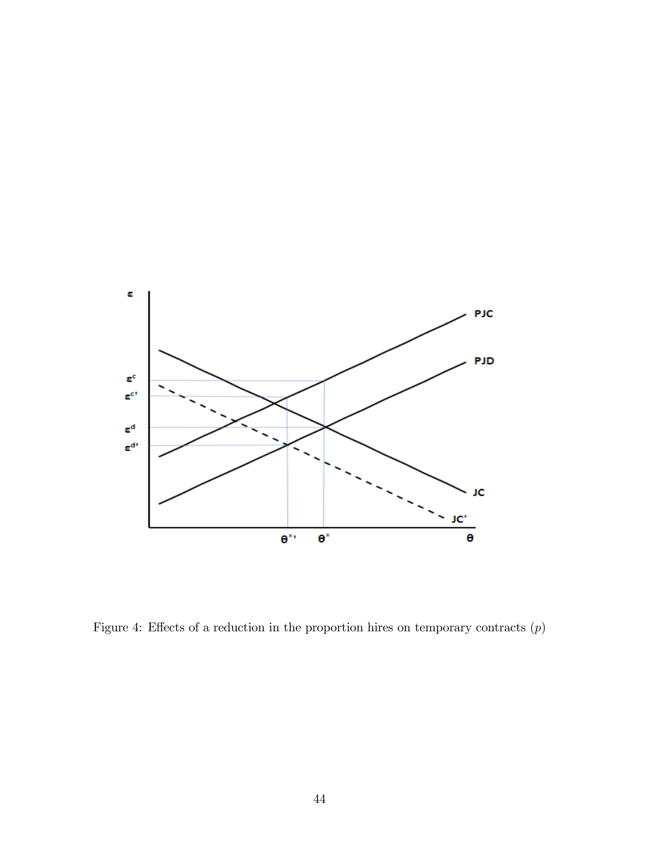

Figure 4: Effects of a reduction in the proportion hires on temporary contracts  $(p)$